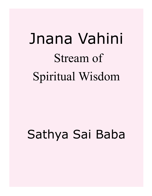# Jnana Vahini Stream of Spiritual Wisdom

## Sathya Sai Baba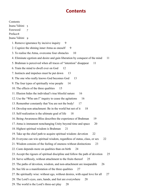## **Contents**

Contents [Jnana Vahini](#page-4-0) 5 [Foreword](#page-6-0) 7 [Preface8](#page-7-0) [Jnana Vahini](#page-8-0) 9 [1. Remove ignorance by incisive inquiry 9](#page-8-0) [2. Cognize the shining inner Atma as oneself 9](#page-8-0) [3. To realise the Atma, overcome four obstacles 10](#page-9-0) [4. Eliminate egotism and desire and gain liberation by conquest of the mind 11](#page-10-0) [5. Brahman is perceived when all traces of "intention" disappear 11](#page-10-0) [6. Train the mind to dwell ever on God 12](#page-11-0) [7. Instincts and impulses must be put down 13](#page-12-0) [8. The one who really knows God becomes God 13](#page-12-0) [9. The four types of spiritually wise people 14](#page-13-0) [10. The effects of the three qualities 15](#page-14-0) [11. Illusion hides the individual's true blissful nature 16](#page-15-0) [12. Use the "Who am I" inquiry to cease the agitations 16](#page-15-0) [13. Remember constantly that You are not the body! 17](#page-16-0) [14. Develop non-attachment: Be in the world but not of it 18](#page-17-0) [15. Self-realization is the ultimate goal of life 18](#page-17-0) [16. Being-Awareness-Bliss describes the experience of Brahman 19](#page-18-0) [17. Atma is immanent nonchanging Unity beyond time and space 20](#page-19-0) [18. Highest spiritual wisdom is Brahman 21](#page-20-0) [19. Take up the chief path to acquire spiritual wisdom: devotion 22](#page-21-0) [20. Everyone can win spiritual wisdom, regardless of status, class, or sex 22](#page-21-0) [21. Wisdom consists of the feeling of oneness without distinctions 23](#page-22-0) [22. Caste depends more on qualities than on birth 24](#page-23-0) [23. Accept the rigours of spiritual discipline and follow the path of devotion 25](#page-24-0) 24. Serve selflessly, without attachment to the fruits thereof 25 [25. The paths of devotion, wisdom, and non-attachment are inseparable 26](#page-25-0) [26. See life as a manifestation of the three qualities 27](#page-26-0) [27. Be spiritually wise: without ego, without desires, with equal love for all 27](#page-26-0) [28. The Lord's eyes, ears, hands, and feet are everywhere 28](#page-27-0) [29. The world is the Lord's three-act play 28](#page-27-0)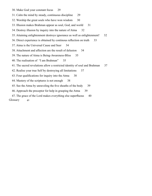- [30. Make God your constant focus 29](#page-28-0)
- [31. Calm the mind by steady, continuous discipline 29](#page-28-0)
- [32. Worship the great souls who have won wisdom 30](#page-29-0)
- [33. Illusion makes Brahman appear as soul, God, and world 31](#page-30-0)
- [34. Destroy illusion by inquiry into the nature of Atma 32](#page-31-0)
- [35. Attaining enlightenment destroys ignorance as well as enlightenment! 32](#page-31-0)
- [36. Direct experience is obtained by continous reflection on truth 33](#page-32-0)
- [37. Atma is the Universal Cause and Seer 34](#page-33-0)
- [38. Attachment and affection are the result of delusion 34](#page-33-0)
- [39. The nature of Atma is Being-Awareness-Bliss 35](#page-34-0)
- [40. The realisation of "I am Brahman" 35](#page-34-0)
- [41. The sacred revelations allow a restricted identity of soul and Brahman 37](#page-36-0)
- [42. Realise your true Self by destroying all limitations 37](#page-36-0)
- [43. Four qualifications for inquiry into the Atma 38](#page-37-0)
- [44. Mastery of the scriptures is not enough 38](#page-37-0)
- 45. See the Atma by unraveling the five sheaths of the body 39
- [46. Approach the preceptor for help in grasping the Atma 39](#page-38-0)
- 47. The grace of the Lord makes everything else superfluous 40

#### [Glossary](#page-40-0) 41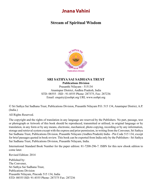## **Jnana Vahini**

### <span id="page-4-0"></span>**Stream of Spiritual Wisdom**



#### **SRI SATHYA SAI SADHANA TRUST Publications Division**

Prasanthi Nilayam - 515134 Anantapur District, Andhra Pradesh, India STD: 08555 : ISD : 91-8555 Phone: 287375, Fax: 287236 Email: enquiry@sssbpt.org URL www.sssbpt.org

© Sri Sathya Sai Sadhana Trust, Publications Division, Prasanthi Nilayam P.O. 515 134, Anantapur District, A.P. (India.)

All Rights Reserved.

The copyright and the rights of translation in any language are reserved by the Publishers. No part, passage, text or photograph or Artwork of this book should be reproduced, transmitted or utilised, in original language or by translation, in any form or by any means, electronic, mechanical, photo copying, recording or by any information, storage and retrieval system except with the express and prior permission, in writing from the Convener, Sri Sathya Sai Sadhana Trust, Publications Division, Prasanthi Nilayam (Andhra Pradesh) India - Pin Code 515 134, except for brief passages quoted in book review. This book can be exported from India only by the Publishers - Sri Sathya Sai Sadhana Trust, Publications Division, Prasanthi Nilayam, India.

International Standard Book Number for the paper edition: 81-7208-296-7. ISBN for this new ebook edition to come later.

Revised Edition: 2014

Published by: The Convener, Sri Sathya Sai Sadhana Trust, Publications Division Prasanthi Nilayam, Pincode 515 134, India STD: 08555 ISD: 91-8555 Phone: 287375 Fax: 287236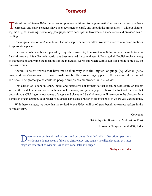## **Foreword**

<span id="page-6-0"></span>This edition of *Jnana Vahini* improves on previous editions. Some grammatical errors and typos have been corrected, and many sentences have been rewritten to clarify and smooth the presentation —without disturbing the original meaning. Some long paragraphs have been split in two where it made sense and provided easier reading.

The original version of *Jnana Vahini* had no chapter or section titles. We have inserted numbered subtitles in appropriate places.

Sanskrit words have been replaced by English equivalents, to make *Jnana Vahini* more accessible to non-Sanskrit readers. A few Sanskrit words have been retained (in parentheses, following their English replacements) to aid people in analyzing the meanings of the individual words and where Sathya Sai Baba made some play on Sanskrit words.

Several Sanskrit words that have made their way into the English language (e.g. *dharma*, *guru*, *yoga*, and *moksha*) are used without translation, but their meanings appear in the glossary at the end of the book. The glossary also contains people and places mentioned in this *Vahini*.

This edition of is done in .epub, .mobi, and interactive pdf formats so that it can be read easily on tablets such as the ipad, kindle, and nook. In these ebook versions, you generally get to choose the font and font size that best suit you. Clicking on most names of people and places and Sanskrit words will take you to the glossary for a definition or explanation. Your reader should then have a back button to take you back to where you were reading.

With these changes, we hope that the revised *Jnana Vahini* will be of great benefit to earnest seekers in the spiritual realm.

Convenor

Sri Sathya Sai Books and Publications Trust Prasanthi Nilayam Pin 515134, India

Devotion merges in spiritual wisdom and becomes identified with it. Devotion ripens into wisdom, so do not speak of them as different. At one stage it is called devotion; at a later stage we refer to it as wisdom. Once it is cane, later it is sugar.

**Sathya Sai Baba**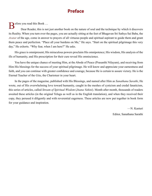## **Preface**

<span id="page-7-0"></span> $\bigcap$  efore you read this Book ...

Dear Reader, this is not just another book on the nature of soul and the technique by which it discovers its Reality. When you turn over the pages, you are actually sitting at the feet of Bhagavan Sri Sathya Sai Baba, the *Avatar* of the age, come in answer to prayers of all virtuous people and spiritual aspirant to guide them and grant them peace and perfection. "Place all your burdens on Me," He says. "Start on the spiritual pilgrimage this very day," He exhorts. "Why fear, when I am here?" He asks.

His grace is omnipresent; His miraculous powers proclaim His omnipotence; His wisdom, His analysis of the ills of humanity, and His prescription for their cure reveal His omniscience.

You have the unique chance of meeting Him, at the Abode of Peace (Prasanthi Nilayam), and receiving from Him His blessings for the success of your spiritual pilgrimage. He will know and appreciate your earnestness and faith, and you can continue with greater confidence and courage, because He is certain to assure victory. He is the Eternal Teacher of the *[Gita](#page-43-0)*, the Charioteer in your heart.

In the pages of the magazine, published with His Blessings, and named after Him as *Sanathana Sarathi*, He wrote, out of His overwhelming love toward humanity, caught in the meshes of cynicism and credal fanaticism, this series of articles, called *Stream of Spiritual Wisdom* (*Jnana Vahini*). Month after month, thousands of readers awaited these articles (in the original Telugu as well as in the English translation), and when they received their copy, they perused it diligently and with reverential eagerness. These articles are now put together in book form for your guidance and inspiration.

> —N. Kasturi Editor, Sanathana Sarathi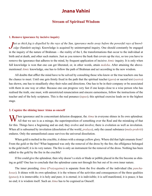## **Jnana Vahini**

#### **Stream of Spiritual Wisdom**

#### <span id="page-8-0"></span>**1. Remove ignorance by incisive inquiry**

*Just as thick fog is dispelled by the rays of the Sun, ignorance melts away before the powerful rays of knowledge (Sanskrit saying). Knowledge is acquired by uninterrupted inquiry. One should constantly be engaged* **Tust as thick fog is dispelled by the rays of the Sun, ignorance melts away before the powerful rays of knowl**in the inquiry of the nature of [Brahman](#page-42-0) —the reality of the I, the transformations that occur to the individual at birth and at death, and other such matters. Just as you remove the husk that covers up the rice, so too you have to remove the ignorance that adheres to the mind, by frequent application of incisive *[Atmic](#page-41-0)* inquiry. It is only when full knowledge is won that one can get liberated, or, in other words, attain *[moksha](#page-45-0)*. After attaining the abovementioned *[Atmic](#page-41-0)* knowledge, one has to follow the path of [Brahman](#page-42-0) and act according to the new wisdom.

All doubts that afflict the mind have to be solved by consulting those who know or the true teachers one has the chance to meet. Until one gets firmly fixed in the path that the spiritual teacher (*[guru](#page-43-1)*) or sacred text (*[sastra](#page-48-0)*) has shown, one has to steadfastly obey their rules and directions. One has to be in their company or be associated with them in one way or other. Because one can progress very fast if one keeps close to a wise person who has realised the truth, one must, with unrestricted renunciation and sincere earnestness, follow the instructions of the teacher and of the holy scriptures. This is the real penance (*[tapas](#page-49-0)*); this spiritual exercise leads on to the highest stage.

#### **2. Cognize the shining inner Atma as oneself**

**V** Then ignorance and its concomitant delusion disappear, the *[Atma](#page-41-1)* in everyone shines in Its own splendour. All that we see is as a mirage, the superimposition of something over the Real and the mistaking of that for this. Things have a beginning and an end; they evolve and involve; there is evolution as well as involution. When all is subsumed by involution (dissolution of the world, *[pralaya](#page-46-0)*), only the causal substance (*[mula-prakriti](#page-45-1)*) endures. Only the unmanifested cause survives the universal dissolution.

When gold is melted in the crucible, it shines with a strange yellow glory. Where did that light emanate from? From the gold or the fire? What happened was only the removal of the dross by the fire; the effulgence belonged to the gold itself; it is its very nature. The fire is only an instrument for the removal of the dross. Nothing has been added to the gold by the fire in the crucible!

If fire could give the splendour, then why doesn't a stick or blade or pebble placed in the fire become as shining as gold? One has to conclude that the splendour came not through fire but out of its own inner nature.

The inner presiding *[Atma](#page-41-1)* (*[Pratyagatma](#page-46-1)*) is separate from the five sheaths of the individual (the *[pancha](#page-46-2)[kosas](#page-46-2)*). It shines with its own splendour; it is the witness of the activities and consequences of the three qualities (*[gunas](#page-43-2)*); it is immovable; it is holy and pure; it is eternal; it is indivisible; it is self-manifested, it is peace; it has no end; it is wisdom itself. Such an *[Atma](#page-41-1)* has to be cognised as Oneself.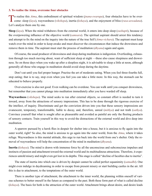#### <span id="page-9-0"></span>**3. To realise the Atma, overcome four obstacles**

To realise this *[Atma](#page-41-1)*, this embodiment of spiritual wisdom (*[jnana-](#page-44-0)swarupa*), four obstacles have to be overcome: sleep (*[laya](#page-44-1)*), waywardness (*[vikshepa](#page-50-0)*), inertia (*[kshaya](#page-44-2)*), and the enjoyment of bliss (*[rasa-aswadana](#page-47-0)*). Let's analyze them one by one.

**Sleep** (*[laya](#page-44-1)*). When the mind withdraws from the external world, it enters into deep sleep (*[sushupti](#page-49-1)*), because of the overpowering influence of the objective world (*[samsara](#page-47-1)*). The spiritual aspirant should arrest this tendency and attempt to fix the mind on the inquiry into the nature of the true Self (*[Atma-vichara](#page-41-2)*). The aspirant must keep watch over the mind in order to keep awake and must discover the circumstances that induce the drowsiness and remove them in time. The aspirant must start the process of meditation (*[dhyana](#page-43-3)*) again and again.

Of course, the usual producer of drowsiness and sleep during meditation is indigestion. Overfeeding, exhaustion through too much moving about, want of sufficient sleep at night —these also cause sleepiness and drowsiness. So on those days when you wake up after a sleepless night, it is advisable to sleep a little at noon, although generally all those who engage in meditation should avoid sleep during the daytime.

Don't eat until you feel proper hunger. Practise the art of moderate eating. When you feel three-fourths full, stop eating; that is to say, stop even when you feel you can take a little more. In this way, the stomach can be educated to behave properly.

Over-exercise is also not good. Even walking can be overdone. You can walk until you conquer drowsiness, but remember that you cannot plunge into meditation immediately after you have warded off sleep.

**Waywardness** (*[vikshepa](#page-50-0)*). The mind seeks to run after external objects, so constant effort is needed to turn it inward, away from the attractions of sensory impressions. This has to be done through the rigorous exercise of the intellect, of inquiry. Discriminate and get the conviction driven into you that these sensory impressions are evanescent, temporary, transformable, liable to decay, and, therefore, unreal (*[mithya](#page-45-2)*) and not truth (*[sathya](#page-48-1)*). Convince yourself that what is sought after as pleasurable and avoided as painful are only the fleeting products of sensory contacts. Train yourself in this way to avoid the distractions of the external world and dive deep into meditation.

A sparrow pursued by a hawk flies in despair for shelter into a house, but it is anxious to fly again into the outer world, right? So also, the mind is anxious to go again into the outer world, from the *[Atma](#page-41-1)*, where it takes refuge. Waywardness is this mental attitude, this urge to run back into the world from one's shelter. Only the removal of waywardness will help the concentration of the mind in meditation (*[dhyana](#page-43-3)*).

**Inertia** (*[kshaya](#page-44-2)*). The mind is drawn with immense force by all the unconscious and subconscious impulses and instincts of passion and attachment toward the external world and its multitudinous attractions. Therefore, it experiences untold misery and might even get lost in its depths. This stage is called "decline of faculties due to inertia".

The state of inertia into which one is driven by despair cannot be called perfect equanimity (*[samadhi](#page-47-2)*). One might even indulge in daydreaming in order to escape from present misery or start building castles in the air. All this is due to attachment, to the temptations of the outer world.

There is another type of attachment, the attachment to the inner world, the planning within oneself of various schemes to better oneself in the future as compared to the past. Both these form part of what is called decline (*[kshaya](#page-44-2)*). The basis for both is the attraction of the outer world. Attachment brings about desire, and desire leads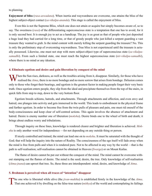<span id="page-10-0"></span>to planning.

**Enjoyment of bliss** (*[rasa-aswadana](#page-47-0)*). When inertia and waywardness are overcome, one attains the bliss of the highest subject-object contact (*[sa-vikalpa-ananda](#page-48-2)*). This stage is called the enjoyment of bliss.

Even this is not the Supreme Bliss, which one does not attain or acquire but simply becomes aware of, so to say. The sweetness (*[rasa](#page-47-3)*) of the differentiating superconscious state is a temptation that one has to avoid, for it is only second best. It is enough joy to act as a handicap. The joy is as great as that of people who just deposited a huge load they had carried for a long time, or that of greedy people who just killed a serpent guarding a vast treasure they wanted to grab. Is the mind content with merely killing the serpent guarding the treasure? No. This is only the preliminary step of overcoming waywardness. True bliss is not experienced until the treasure is actually possessed. Likewise, one must not stop with mere subject-object type of superconscious state (*[sa-vikalpa](#page-48-3)[samadhi](#page-48-3)*). From such a limited state, one must reach the highest superconscious state (*[nir-vikalpa-samadhi](#page-45-3)*), where there is no mind or any ideation.

#### **4. Eliminate egotism and desire and gain liberation by conquest of the mind**

Then the Sun rises, darkness, as well as the troubles arising from it, disappear. Similarly, for those who have realised the *Atma*, there is no more bondage and no more sorrow that arises from bondage. Delusion comes only to those who forget their bearings, and egotism is the greatest factor in making people forget their very basic truth. Once egotism enters people, they slip from the ideal and precipitate themselves from the top of the stairs, in quick falls from step to step, down to the very bottom floor.

Egotism breeds schisms, hatreds, and attachments. Through attachments and affection, and even envy and hatred, one plunges into activity and gets immersed in the world. This leads to embodiment in the physical frame and further egotism. In order to become free from the twin pulls of pleasure and pain, one must rid oneself of the body-consciousness and keep clear of self-centred actions. This again involves the absence of attachment and hatred. Desire is enemy number one of liberation (*[moksha](#page-45-0)*). Desire binds one to the wheel of birth and death; it brings about endless worry and tribulations.

Through inquiry on these lines, knowledge is rendered clearer and brighter and liberation is achieved. *[Mok](#page-45-0)[sha](#page-45-0)* is only another word for independence —for not depending on any outside thing or person.

If nicely controlled and trained, the mind can lead one on to *[moksha](#page-45-0)*. It must be saturated with the thought of God; that will help the inquiry into the nature of Reality. The consciousness of the ego itself will fade away when the mind is free from pulls and when it is rendered pure. Not to be affected in any way by the world —that is the path to self-realisation; self-realisation cannot be obtained in Heaven (*[Swarga](#page-49-2)*) or on Mount [Kailas](#page-44-3).

The flame of desire cannot be put out without the conquest of the mind. The mind cannot be overcome without stamping out the flames of desire. The mind is the seed; desire, the tree. Only knowledge of self-realisation (*[Atma-jnana](#page-41-3)*) can uproot that tree. So, these three are interdependent: mind, desire, and knowledge of *[Atma](#page-41-1)*.

#### **5. Brahman is perceived when all traces of "intention" disappear**

The one who is liberated while alive (the *[jivan-muktha](#page-43-4)*) is established firmly in the knowledge of the  $Atma$ .<br>That one achieved it by dwelling on the false-true nature (*[mithya](#page-45-2)*) of the world and contemplating its failing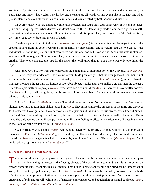<span id="page-11-0"></span>and faults. By this means, that one developed insight into the nature of pleasure and pain and an equanimity in both. That one knows that wealth, worldly joy, and pleasure are all worthless and even poisonous. That one takes praise, blame, and even blows with a calm assurance and is unaffected by both honour and dishonour.

Of course, those who are liberated while alive reached that stage only after long years of systematic discipline and unflagging zeal when distress and doubt assailed them. Defeat only made them more rigorous in selfexamination and more earnest about following the prescribed discipline. They have no trace of the "will to live"; they are ever ready to drop into the lap of death.

The direct perception of [Brahman](#page-42-0) (*[a-paroksha-brahma-jnana](#page-41-4)*) is the name given to the stage in which the aspirant is free from all doubt regarding improbability or impossibility and is certain that the two entities, the individual Self or spirit (*[jiva](#page-43-5)*) and [Brahman,](#page-42-0) were one, are one, and will ever be one. When this state is attained, aspirants will no longer suffer confusion. They won't mistake one thing for another or superimpose one thing on another. They won't mistake the rope for the snake; they will know that all along there was only one thing, the rope.

Also, they won't suffer from superimposing the boundaries of individuality on the Universal (*[abhasa-ava](#page-40-1)[rana](#page-40-1)*). That is, they won't declare —as they were wont to do previously— that the effulgence of [Brahman](#page-42-0) is not in them. In the heart and centre of every individual (*[jivi](#page-43-6)*) exists the Supreme *[Atma](#page-41-1)* (*[Paramatma](#page-46-3)*), minuter than the minutest molecule, huger than the hugest conceivable object, smaller than the smallest, greater than the greatest. Therefore, spiritually wise people (*[jnanis](#page-44-4)*) who have had a vision of the *[Atma](#page-41-1)* in them will never suffer sorrow. The *[Atma](#page-41-1)* is there, in all living things, in the ant as well as the elephant. The whole world is enveloped and sustained by this subtle *[Atma](#page-41-1)*.

Spiritual aspirants (*[sadhakas](#page-47-4)*) have to direct their attention away from the external world and become insighted; they have to turn their vision toward the *[Atma](#page-41-1)*. They must analyse the processes of the mind and discover for themselves the origin of all the modifications and agitations of the mind. By this means, every trace of "intention" and "will" has to disappear. Afterward, the only idea that will get fixed in the mind will be the idea of [Brah](#page-42-0)[man.](#page-42-0) The only feeling that will occupy the mind will be the feeling of bliss, which arises out of its establishment in the stage of being-awareness-bliss (*[satchidananda](#page-48-4)*).

Such spiritually wise people (*[jnanis](#page-44-4)*) will be unaffected by joy or grief, for they will be fully immersed in the ocean of *[Atmic](#page-41-0)* bliss (*[Atma-ananda](#page-41-5)*), above and beyond the reach of worldly things. The constant contemplation of the *[Atma](#page-41-1)* and its glory is what is connoted by the phrases "practice of [Brahman](#page-42-0) (*[Brahma-abhyasa](#page-42-1)*)" and "cultivation of spiritual wisdom (*[jnana-abhyasa](#page-44-5)*)".

#### **6. Train the mind to dwell ever on God**

The mind is influenced by the passion for objective pleasure and the delusion of ignorance with which it pur-<br>sues —with amazing quickness— the fleeting objects of the world. So, again and again it has to be led on toward higher ideals. Of course, this is difficult at first, but with persistent training, the mind can be tamed; then it will get fixed in the perpetual enjoyment of the *[Om](#page-45-4)* (*[pranava](#page-46-4)*). The mind can be trained by following the methods of quiet persuasion, promise of attractive inducements, practice of withdrawing the senses from the outer world, endurance of pain and travail, cultivation of sincerity and constancy, and acquisition of mental equipoise (*[sama](#page-47-5)*, *[dama](#page-42-2)*, *[uparathi](#page-49-3)*, *[thithiksha](#page-49-4)*, *[sraddha](#page-48-5)*, and *[sama-dhana](#page-47-6)*).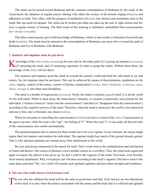<span id="page-12-0"></span>The mind can be turned toward [Brahman](#page-42-0) and the constant contemplation of [Brahman](#page-42-0) by the study of the *[Upanishads](#page-49-5)*, the adoption of regular prayer, sharing with others the ecstasy of devotional singing (*[bhajan](#page-41-6)*), and adherence to truth. Very often, with the progress of meditation (*[dhyana](#page-43-3)*), new desires and resolutions arise in the mind. But one need not despair. The mind can be broken provided one takes up the task in right earnest and follows a regular routine of training. The final result of this training is unlimited, unmodified bliss-consciousness (*[nir-vikalpa-samadhi](#page-45-3)*).

This bliss-consciousness gives full knowledge of [Brahman](#page-42-0), which in turn results in liberation from birth and death (*[moksha](#page-45-0)*). The mind must be attuned to the contemplation of [Brahman;](#page-42-0) one must strive to tread the path of [Brahman](#page-42-0) and live in [Brahman,](#page-42-0) with [Brahman.](#page-42-0)

#### **7. Instincts and impulses must be put down**

K nowledge of the [Atma](#page-41-1) ([Atma-jnana](#page-41-3)) can be won only by the triple path of (1) giving up impulses ([vasanas](#page-50-1)), (2) uprooting the mind, and (3) analysing experience in order to grasp the reality. Without these three, the knowledge of the *[Atma](#page-41-1)* will not dawn.

The instincts and impulses prod the mind on toward the sensory world and bind the individual to joy and misery. So, the impulses must be put down. This can be achieved by means of discrimination, meditation on the *[Atma](#page-41-1)*, inquiry, control of the senses, control of desires, renunciation (*[viveka](#page-51-0)*, *[Atma-chinthana](#page-41-7)*, *[vicharana](#page-50-2)*, *[sama](#page-47-5)*, *[dama](#page-42-2)*, *[vairagya](#page-49-6)*), and other such disciplines.

The mind is a bundle of impressions (*[vasanas](#page-50-1)*). Verily, the mind is creation (*[jagath](#page-43-7)*) itself; it is all the world for the individual. While in deep sleep, the mind doesn't function, so creation is practically non-existent for the individual. Creation is born (or "enters into the consciousness") and dies (or "disappears from the consciousness") according to the cognitive powers of the mind. Therefore, when the mind is destroyed, the world is also destroyed and one is free, one is liberated, one attains *[moksha](#page-45-0)*.

Whoever succeeds in controlling the consciousness (*[chittha](#page-42-3)*) can have a vision of the *[Atma](#page-41-1)*. Consciousness is the grown-up tree, while the seed is the "ego", the feeling of "I". When the seed "I" is cast aside, all the activities of the consciousness also vanish automatically.

The spiritual aspirant who is earnest for these results has to be ever vigilant. At any moment, the senses might regain their lost mastery and enslave the individual. The aspirant might lose much of the ground already gained. That is why spiritual aspirants are warned away from attachments to the world.

Be ever and always immersed in the search for truth. Don't waste time in the multiplication and satisfaction of wants and desires. One source of pleasure craves another source as a corollary. Thus, the mind seeks again and again to acquire the objects it has given up. So don't yield to the vagaries of the mind. Turn back, even forcibly, from sensory attachment. Why, even prayer can't be done according to the mind's vagaries. One has to stick to the same place and time! The *[Atma](#page-41-1)* itself will sustain such spiritual aspirants and give them strength and steadiness.

#### **8. The one who really knows God becomes God**

The one who has subdued the mind will be the same in good times and bad. Grief and joy are but aberrations of the mind. It is only when the mind is associated with the senses and the body that it is affected and agitated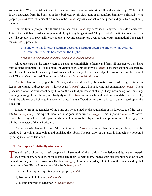<span id="page-13-0"></span>and modified. When one takes in an intoxicant, one isn't aware of pain, right? How does this happen? The mind is then detached from the body, so it isn't bothered by physical pain or discomfort. Similarly, spiritually wise people (*[jnanis](#page-44-4)*) have immersed their minds in the *[Atma](#page-41-1)*; they can establish mental peace and quiet by disciplining the mind.

Spiritually wise people get full bliss from their own *[Atma](#page-41-1)*; they don't seek it anywhere outside themselves. In fact, they will have no desire or plan to find joy in anything external. They are satisfied with the inner joy they get. The greatness of spiritually wise people is beyond description, even beyond your imagination! The sacred texts (*[sruthis](#page-48-6)*) proclaim,

The one who has known [Brahman](#page-42-0) becomes [Brahman](#page-42-0) Itself; the one who has attained the [Brahman](#page-42-0) Principle has become the Highest.

#### *Brahmavith Brahmaiva bhavathi, Brahmavith param aapnothi.*

All bubbles are but the same water; so also, all the multiplicity of name and form, all this created world, are but the same [Brahman](#page-42-0). This is the fixed conviction of the spiritually wise (*[jnani](#page-44-4)*), nay, their genuine experience. As all rivers flow into the sea and get lost, so also all desires get lost in the effulgent consciousness of the realised soul. That is what is termed direct vision of the *[Atma](#page-41-1)* (*[Atma-sakshathkara](#page-41-8)*).

The *[Atma](#page-41-1)* has no death, right? It isn't born, and it is unaffected by the six-fold process of change. It is birthless (*[a-ja](#page-40-2)*), without old age (*a-jara*), without death (*[a-mara](#page-40-3)*), and without decline and extinction (*[a-vinasa](#page-41-9)*). These processes are for the evanescent body; they are the six-fold processes of change. They mean being born, existing, growing, getting old, declining, and lastly dying. The *[Atma](#page-41-1)* has no such modification. It is stable, unshakeable, fixed, the witness of all change in space and time. It is unaffected by transformations, like the waterdrop on the lotus leaf.

Liberation from the tentacles of the mind can be obtained by the acquisition of the knowledge of the Absolute (*[Brahma-jnana](#page-42-4)*). This type of liberation is the genuine selfrule (*[swarajya](#page-49-7)*). This is genuine *[moksha](#page-45-0)*. Whoever grasps the reality behind all this passing show will be untroubled by instinct or impulse or any other urge; they will be the master of the real wisdom.

The robber who has robbed us of the precious gem of *[Atma](#page-41-1)* is no other than the mind, so the gem can be regained by catching, threatening, and punished the robber. The possessor of that gem is immediately honoured by being installed as [Brahman](#page-42-0).

#### **9. The four types of spiritually wise people**

The spiritual aspirant must seek people who have attained this spiritual knowledge and learn their experi-<br>ence from them, honour them for it, and share their joy with them. Indeed, spiritual aspirants who do so are blessed, for they are on the road to self-rule (*[swarajya](#page-49-7)*). This is the mystery of [Brahman](#page-42-0), the understanding that there is no other. This is knowledge of the Self (*[Atma-jnana](#page-41-3)*).

There are four types of spiritually wise people (*[jnanis](#page-44-4)*):

- (1) Knowers of [Brahman](#page-42-0) (*[Brahmavid](#page-42-5)*),
- (2) Master knowers of [Brahman](#page-42-0) (*[Brahmavidvara](#page-42-6)*),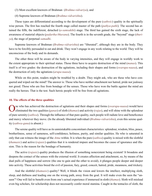<span id="page-14-0"></span>(3) Most excellent knowers of [Brahman](#page-42-0) (*[Brahma-vidvariya](#page-42-7)*), and

(4) Supreme knowers of [Brahman](#page-42-0) (*[Brahma-vidvarishta](#page-42-8)*).

These types are differentiated according to the development of the pure (*[sathwic](#page-48-7)*) quality in the spiritually wise person. The first has reached the fourth stage called master of the path (*[pathya-pathi](#page-46-5)*). The second has attained the fifth, the indifferent, detached (*[a-samsakthi](#page-41-10)*) stage. The third has gained the sixth stage, the lack of awareness of material objects (*[padartha-bhavana](#page-46-6)*). The fourth is in the seventh grade, the "beyond" stage (*[thuri](#page-49-8)[ya](#page-49-8)*), the stage of perpetual *[samadhi](#page-47-2)*.

Supreme knowers of [Brahman](#page-42-0) (*[Brahma-vidvarishta](#page-42-8)*) are "liberated", although they are in the body. They have to be forcibly persuaded to eat and drink. They won't engage in any work relating to the world. They will be unconscious of the body and its demands.

The other three will be aware of the body in varying intensities, and they will engage in worldly work to the extent appropriate to their spiritual status. Those three have to acquire destruction of the mind (*[manas](#page-45-5)*). This itself is of two grades: the destruction of the agitations, including their shapes and forms (*[swarupa-naasa](#page-49-9)*), and the destruction of only the agitations (*[arupa-naasa](#page-41-11)*).

While on this point, readers might be troubled by a doubt. They might ask, who are these who have conquered and wiped out the mind? The answer is: Those who have neither attachment nor hatred, pride nor jealousy nor greed. Those who are free from bondage of the senses. Those who have won the battle against the mind are really the heroes. That is the test. Such heroic people will be free from all agitations.

#### **10. The effects of the three qualities**

The who has achieved the destruction of agitations and their shapes and forms ([swarupa-naasa](#page-49-9)) would have<br>eliminated the two qualities (gunas) of sloth (thamas) and activity (rajas), and will shine with the splendour of pure serenity (*[sathwa](#page-48-8)*). Through the influence of that pure quality, such people will radiate love and beneficence and mercy wherever they move. (In the already liberated individual (*[Brahma-vidvarishta](#page-42-8)*), even this serene quality (*[sathwa-guna](#page-48-9)*) is absent.)

The serene quality will have as its unmistakable concomitant characteristics: splendour, wisdom, bliss, peace, brotherliness, sense of sameness, self-confidence, holiness, purity, and similar qualities. He who is saturated in only that can witness the image of the *[Atma](#page-41-1)* within. It is when the pure (*[sathwa](#page-48-8)*) quality is mixed with the slothful (*[thamasic](#page-49-11)*) and active (*[rajasic](#page-46-8)*) qualities that it is rendered impure and becomes the cause of ignorance and illusion. This is the reason for the bondage of humanity.

The active (*[rajasic](#page-46-8)*) quality produces the illusion of something nonexistent being existent! It broadens and deepens the contact of the senses with the external world. It creates affection and attachment, so, by means of the dual pulls of happiness and sorrow (the one to gain and the other to avoid), it plunges people deeper and deeper into activity. These activities breed the evil of passion, fury, greed, conceit, hatred, pride, meanness, and trickery.

And the slothful (*[thamasic](#page-49-11)*) quality? Well, it blinds the vision and lowers the intellect, multiplying sloth, sleep, and dullness and leading one on the wrong path, away from the goal. It will make even the seen the "unseen"! One will fail to benefit even from one's actual experience if immersed in sloth (*[thamas](#page-49-10)*). Sloth will mislead even big scholars, for scholarship does not necessarily confer moral stamina. Caught in the tentacles of sloth, the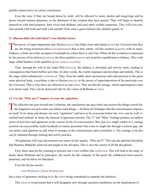<span id="page-15-0"></span>pundits cannot arrive at correct conclusions.

Even the wise, if they are bound down by sloth, will be affected by many doubts and misgivings and be drawn toward sensory pleasures, to the detriment of the wisdom they have gained. They will begin to identify themselves with their property, their wives and children, and such other worldly temporals. They will even confuse untruth with truth and truth with untruth! Note what a great trickster this slothful quality is!

#### **11. Illusion hides the individual's true blissful nature**

This power of super-imposition that illusion ( $maya$ ) has hides from individuals ( $jivis$ ) the Universal that they are, the being-awareness-bliss (satchidananda) that is their nature. All this creation ( $jagath$ ), with its manifoldness, is born out of the ascription of multiplicity where there is only One. When all this evolution is subsumed by the process of involution (*[pralaya](#page-46-0)*), the three qualities (*[gunas](#page-43-2)*) are in perfect equilibrium or balance. This is the stage called balance of the qualities (*[guna-saamya-avastha](#page-43-8)*).

Then, through the will of the Super-Will (*[Iswara](#page-43-9)*), the balance is disturbed and activity starts, leading to consequences that breed further activities. In other words, the world originates and develops and unfolds. This is the stage called unbalanced (*[vaishamya](#page-50-3)*). Thus, from the subtle inner unconscious and subconscious to the gross outer physical body, everything is due to illusion (*[maya](#page-45-6)*), or the power of superimposition of the particular over the Universal. That is why these are referred to as non-*[Atma](#page-41-1)*. They are like the mirage, which superimposes water over desert sand. They can be destroyed only by the vision of [Brahman](#page-42-0) or *[Atma](#page-41-1)*.

#### **12. Use the "Who am I" inquiry to cease the agitations**

The affection one gets toward one's relations, the satisfaction one gets when one secures the things craved for,  $\blacktriangle$  the happiness one gets when one utilises such things —all these are bondages that the consciousness imposes on itself. Even sleep and dreams are such "agitations" and have to be overcome before the *[Atma](#page-41-1)* can be well visualised and realised. In sleep, the element of ignorance persists. The "I" and "Mine" feelings produce an endless series of activities and agitations in the various levels of consciousness. But, just as a single soldier in a vantage position can successfully tackle hundreds of enemy personnel who come in single file through a narrow gap, one can tackle each agitation as and when it emerges in the consciousness and overwhelm it. The courage to do this can be obtained through training derived by practice.

All agitations will cease the moment one enters on the inquiry, "Who am I?" This was the spiritual discipline that [Ramana Maharshi](#page-47-7) achieved and taught to his disciples. This is also the easiest of all the disciplines.

First, there must be the yearning to procure one's own welfare (the *[subhecha](#page-48-10)*). This will lead to the study of books about [Brahman](#page-42-0) and its principles, the search for the company of the good, the withdrawal from sensory pleasures, and the thirst for liberation.

Even the divine maxim,

#### I am [Brahman](#page-42-0) (*[Aham Brahmasmi](#page-40-4)*)

has a trace of ignorance sticking to it, the *[aham](#page-40-5)* being considered as separate but identical.

This *[aham](#page-40-5)* is so persistent that it will disappear only through ceaseless meditation on the implications of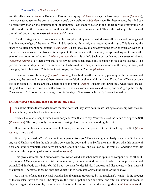#### You are That (*Thath twam asi*)

<span id="page-16-0"></span>and the all-inclusive *[Atma](#page-41-1)* or [Brahman.](#page-42-0) This is the enquiry (*[vicharana](#page-50-2)*) stage or basic step in *[yoga](#page-51-1)* (*[bhumika](#page-41-12)*); the stage subsequent to the desire to procure one's own welfare (*[subhecha](#page-48-10)*) stage. By these means, the mind can be fixed very soon on the contemplation of [Brahman](#page-42-0). Each stage is a step in the ladder for the progressive rise of the mind from the concrete to the subtle and the subtle to the non-existent. This is the last stage, the "state of diminished body consciousness (*[thanumanasi](#page-49-12)*)" stage.

The three stages referred to above and the disciplines they involve will destroy all desires and cravings and illumine knowledge of the reality. The mind is rendered fully holy and saturated with truth. This is called the stage of no-attachment or no-contact (*[a-samsakthi](#page-41-10)*). That is to say, all contact with the exterior world or even with one's own past is wiped out. No attention is paid to the internal and the external; the spiritual aspirant reaches the state of non-cognition of objects (*[abhava-pratheethi](#page-40-6)*), as it is called. Such a person has no awareness of objects (*[padartha-bhavana](#page-46-6)*) of their own; that is to say, no object can create any sensation in this consciousness. The perfect realised soul (*[jnani](#page-44-4)*) is ever immersed in the bliss of the *[Atma](#page-41-1)*, with no awareness of the seer, the seen, and the sight, the triple thread. This is the fourth stage, the "beyond" stage (*[thuriya](#page-49-8)*).

Some are wakeful-dreamy (*[jaagrath swapna](#page-43-10)*); they build castles in the air, planning with the known and unknown, the seen and unseen. Others are extra-wakeful; through many births, their "I" and "mine" have become too deep-rooted. All these are only agitations of the mind (*[vrittis](#page-51-2)*). Wisdom can dawn only when these are destroyed. Until then, however, no matter how much one may know of names and forms, one can't grasp the reality. The ceasing of all consciousness or agitation is the sign of the person who really knows the reality.

#### **13. Remember constantly that You are not the body!**

ook at the clouds that wander across the sky; note that they have no intimate lasting relationship with the sky, which they hide but for a few minutes.

Such is the relationship between your body and You, that is to say, You who are of the nature of Supreme Self (*[Paramatma](#page-46-3)*). The body is only a temporary, passing phase, hiding and clouding the truth.

How can the body's behaviour —wakefulness, dream, and sleep— affect the Eternal Supreme Self (*[Para](#page-46-3)[matma](#page-46-3)*) in any way?

What of your shadow? Isn't it something separate from you? Does its length or clarity or career affect you in any way? Understand that the relationship between the body and your Self is the same. If you take this bundle of flesh and bone as yourself, consider what happens to it and how long you can call it "mine". Pondering over this problem is the beginning of spiritual wisdom (*[jnana](#page-44-0)*).

This physical frame, built out of earth, fire, water, wind, and ether, breaks up into its components, as all builtup things do! Only ignorance will take it as real; only the uneducated will attach value to it as permanent and eternal. Did this body exist before birth? Does it persist after death? No. It appears and disappears, with an interval of existence! Therefore, it has no absolute value; it is to be treated only as the cloud or the shadow.

As a matter of fact, this physical world is like the mango tree raised by the magician's wand; it is the product of the trickster known as mind. The clay takes the form of pot and pan and plate, and after an interval, it becomes clay once again, shapeless clay. Similarly, all this is the formless existence-knowledge-bliss (*[satchidananda](#page-48-4)*); the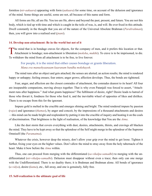<span id="page-17-0"></span>formless (*[nir-aakaara](#page-45-7)*) appearing with form (*[aakaara](#page-40-7)*) for some time, on account of the delusion and ignorance of the mind. Some things are useful, some are not, all because of this name and form.

All forms are He; all are He. You too are He, above and beyond the past, present, and future. You are not this body, which is tied up with time and which is caught in the toils of was, is, and will. Be ever fixed in this attitude. Dwell constantly in the thought that you are of the nature of the Universal Absolute [Brahman](#page-42-0) (*[Parabrahman](#page-46-9)*); then, you will grow into a realised soul (*[jnani](#page-44-4)*).

#### **14. Develop non-attachment: Be in the world but not of it**

The mind that is in bondage craves for objects, for the company of men, and it prefers this location or that.<br>Attachment is bondage; non-attachment is liberation (moksha, mukthi). To crave is to be imprisoned, to die. To withdraw the mind from all attachment is to be free, to live forever.

For people, it is the mind that either causes bondage or grants liberation. *Mana eva manushyaanaam kaaranam bandha mokshayoh*.

The mind runs after an object and gets attached; the senses are alerted; an action results; the mind is rendered happy or unhappy; feeling ensues; fear enters; anger grows; affection develops. Thus, the bonds are tightened.

Fear, anger, and affection are the closest comrades of attachment, the comrades dearest to its heart! All four are inseparable companions, moving always together. That is why even [Patanjali](#page-46-10) was forced to assert, "Attachment runs after happiness." And what grants happiness? The fulfilment of desire, right? Desire leads to hatred of those who thwart it, fondness for those who feed it, and the inevitable wheel of opposites of likes and dislikes. There is no escape from this for the ignorant.

Impure gold is melted in the crucible and emerges shining and bright. The mind rendered impure by passion (*[rajas](#page-46-7)*) and ignorance (*[thamas](#page-49-10)*), by anger and conceit, by the impressions of a thousand attachments and desires —this mind can be made bright and resplendent by putting it into the crucible of inquiry and heating it on the coals of discrimination. That brightness is the light of realisation, of the knowledge that You are the *[Atma](#page-41-1)*.

Like the dust storm that covers everything with dust, desires, attachments, thirsts, and cravings all blacken the mind. They have to be kept away so that the splendour of the Self might merge in the splendour of the Supreme Omniself (the *[Paramatma](#page-46-3)*).

Whatever the crisis, however deep the misery, don't allow your grip over the mind to get loose. Tighten it further, fixing your eyes on the higher values. Don't allow the mind to stray away from the holy tabernacle of the heart. Make it bow before the *[Atma](#page-41-1)* within.

Thus, one can proceed from merging with the differentiated (*[sa-vikalpa-samadhi](#page-48-3)*) to merging with the undifferentiated (*[nir-vikalpa-samadhi](#page-45-3)*). Delusion must disappear without even a trace; then only can one merge with the Undifferentiated. There is no duality there; it is [Brahman](#page-42-0) and Brahman alone. All bonds of ignorance (*[a-vidya](#page-41-13)*), desire (*[kama](#page-44-6)*), etc., fall away, and one is genuinely, fully free.

#### **15. Self-realization is the ultimate goal of life**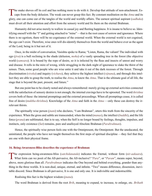<span id="page-18-0"></span>The snake shoves off its coil and has nothing more to do with it. Develop that attitude of non-attachment. Escape from the body delusion. The weak can never grasp this fact. By constant meditation on the Atma and its glory, one can come out of the tangles of the world and worldly affairs. The earnest spiritual aspirant (*[sadhaka](#page-47-4)*) must divert all their attention and effort from the sensory world and fix them on the eternal [Brahman](#page-42-0).

Humanity did not arise merely to wallow in casual joy and fleeting happiness. It is insane to believe so. Identifying oneself with the "I" and getting attached to "mine" —that is the root cause of sorrow and ignorance. Where there is no egotism, there will be no cognisance of the external world. When the external world is not cognised, the ego can't exist. Therefore, wise ones will dis-identify themselves from the world and behave ever as the agent of the Lord, being in it but not of it.

Once, in the midst of conversation, [Vasishta](#page-50-4) spoke to [Rama;](#page-47-8) "Listen, [Rama](#page-47-8), the valiant! The individual with ego (*[jiva](#page-43-5)*) is a bull reclining in the shade (delusion, *[moha](#page-45-9)*) of a vastly spreading tree in the forest (the objective world (*[samsara](#page-47-1)*). It is bound by the rope of desire, so it is infected by the fleas and insects of unrest and worry and disease. It rolls in the mire of wrong, while struggling in the dark night of ignorance to slake the thirst of the senses. Then, some good people who are wise untie it and take it out of the dark recesses of the forest. Through discrimination (*[viveka](#page-51-0)*) and inquiry (*[vichara](#page-50-5)*), they achieve the highest intellect (*[vijnana](#page-50-6)*), and through this intellect they are able to grasp the truth, to realise the *[Atma](#page-41-1)*, to know the *[Atma](#page-41-1)*. That is the ultimate goal of all life, the stage that is beyond the past, present, and future."

But one point has to be clearly noted and always remembered: merely giving up external activities connected with the satisfaction of sensory desires is not enough; the internal cravings have to be uprooted. The word *[thrishna](#page-49-13)* covers both of these: the internal promptings and the external proceedings. When all promptings cease, it is called free of desire (*[muktha-thrishna](#page-45-10)*). Knowledge of the *[Atma](#page-41-1)* and faith in the *[Atma](#page-41-1)* —only these can destroy the irrelevant thirsts.

The spiritually wise person (*[jnani](#page-44-4)*) who declares, "I am [Brahman"](#page-42-0), utters this truth from the sincerity of the experience. When the gross and subtle are transcended, when the mind (*[manas](#page-45-5)*), the intellect (*[buddhi](#page-42-9)*), and the life force (*[prana](#page-46-11)*) are sublimated, that is to say, when the Self is no longer bound by feelings, thoughts, impulses, and instincts, only existence (*[Sat](#page-48-11)*) remains, pure and unalloyed Absolute [Brahman](#page-42-0) (*[Parabrahman](#page-46-9)*).

Hence, the spiritually wise person feels one with the Omnipresent, the Omnipotent. But the uneducated, the uninitiated, the people who have not taught themselves the first steps of spiritual discipline —they feel that they are one with their physical frame.

#### **16. Being-Awareness-Bliss describes the experience of Brahman**

The expression being-awareness-bliss ([satchidananda](#page-48-4)) indicates the Eternal, without form ([nir-aakaara](#page-45-7)).<br>What form can we posit of the All-pervasive, the All-inclusive? "Para", or "Param", means super, beyond, above, more glorious than all. *[Parabrahman](#page-46-9)* indicates the One beyond and behind everything, grander than anything in the three worlds. It is non-dual, unique, eternal, and infinite. "Two" means difference, dissension, inevitable discord. Since [Brahman](#page-42-0) is all-pervasive, It is one and only one. It is indivisible and indestructible.

Realising this fact is the highest wisdom (*[jnana](#page-44-0)*).

The word [Brahman](#page-42-0) is derived from the root *Brih*, meaning to expand, to increase, to enlarge, etc. *Brihath*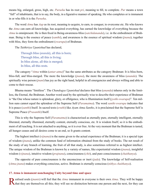<span id="page-19-0"></span>means big, enlarged, gross, high, etc. *[Purusha](#page-46-12)* has its root *pri*, meaning to fill, to complete. *Pur* means a town "full" of inhabitants, that is to say, the body, in a figurative manner of speaking. He who completes or is immanent in or who fills it is the *[Purusha](#page-46-12)*.

The word *[Atma](#page-41-1)* has *Aap* as its root, meaning to acquire, to earn, to conquer, to overcome etc. He who knows the *[Atma](#page-41-1)* can earn all knowledge, has acquired everything, has earned the knowledge of everything because the *[Atma](#page-41-1)* is omnipresent. He is then fixed in Being-awareness-bliss (*[satchidananda](#page-48-4)*), i.e. in the embodiment of [Brah](#page-42-0)[man.](#page-42-0) Being is the essence of peace (*[santhi](#page-48-12)*), and awareness is the essence of spiritual wisdom (*[jnana](#page-44-0)*); together with bliss, they form the embodiment (*[swarupa](#page-49-14)*) of [Brahman](#page-42-0).

The *[Taithiriya Upanishad](#page-49-15)* has declared,

Through bliss (*[ananda](#page-40-8)*), all this is born; Through bliss, all this is living; In bliss alone, all this is merged; In bliss, all this rests.

The category "*[Atma](#page-41-1)* within (*[antar-atma](#page-40-9)*)" has the same attributes as the category [Brahman:](#page-42-0) It is bliss-born, bliss-full, and bliss-merged. The more the knowledge (*[jnana](#page-44-0)*), the more the awareness of bliss (*[ananda](#page-40-8)*). The spiritually wise person (*[jnani](#page-44-4)*) has joy as the right hand, helpful in all emergencies and always willing and able to come to their rescue.

Bhuma means "limitless". The *[Chandogya Upanishad](#page-42-10)* declares that bliss (*[ananda](#page-40-8)*) inheres only in the limitless, the Eternal, the [Brahman.](#page-42-0) Another word used by the spiritually wise to describe their experience of [Brahman](#page-42-0)  is "the One whose nature is splendour, glory, or effulgence, who is Illumination itself (*[jyothi-swarupa](#page-44-7)*)". Ten million suns cannot equal the splendour of the Supreme Self (*[Paramatma](#page-46-3)*). The word *[santhi-swarupa](#page-48-13)* indicates that It is peace (*[santhi](#page-48-12)*) Itself. In sacred texts (*[sruthi](#page-48-6)*) like *Ayam Atma Santho*, it is proclaimed that the Supreme Self is Supreme Peace (*[Prasanthi](#page-46-13)*) Itself.

This is why the Supreme Self (*[Paramatma](#page-46-3)*) is characterised as eternally pure, eternally intelligent, eternally liberated, eternally illumined, eternally content, eternally conscious, etc. It is wisdom Itself, so it is the embodiment of all teaching. It is not attached to anything, so it is ever free. At the very moment that the [Brahman](#page-42-0) is tasted, all hunger ceases and all desires come to an end, so It grants content.

The highest intellect (*[vijnana](#page-50-6)*) is the name given to the actual experience of the [Brahman](#page-42-0); it is a special type of wisdom (*[jnana](#page-44-0)*), unlike the common fund of information obtained from the study of books. The net result of the study of any branch of learning, the fruit of all that study, is also sometimes referred to as highest intellect. The unique wisdom of the [Brahman](#page-42-0) is known by a variety of names, like experiential wisdom (*[jnana](#page-44-0)*), insightful wisdom (*[vijnana](#page-50-6)*), intuitive wisdom (*[prajnana](#page-46-14)*), consciousness (*[chit](#page-42-11)*), and pure consciousness (*[chaithanya](#page-42-12)*).

The opposite of pure consciousness is the unconscious or inert (*[jada](#page-43-11)*). The knowledge of Self-realisation (*[Atma-jnana](#page-41-3)*) makes everything conscious, active. [Brahman](#page-42-0) is eternally conscious (*[nithya](#page-45-11) [chaithanya](#page-42-12)*).

#### **17. Atma is immanent nonchanging Unity beyond time and space**

Realised souls ([jnanis](#page-44-4)) will feel that the [Atma](#page-41-1) immanent in everyone is their own Atma. They will be happy<br>that they are themselves all this; they will see no distinction between one person and the next, for they can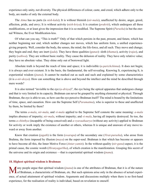<span id="page-20-0"></span>experience only unity, not diversity. The physical differences of colour, caste, and creed, which adhere only to the body, are marks of only the external body.

The *[Atma](#page-41-1)* has no parts (is *[nish-kala](#page-45-12)*); It is without blemish (*[nir-mala](#page-45-13)*), unaffected by desire, anger, greed, affection, pride, and envy; It is without activity (*[nish-kriya](#page-45-14)*); It is creation (*[prakriti](#page-46-15)*), which undergoes all these modifications, or at least gives the impression that it is so modified. The Supreme Spirit (*[Purusha](#page-46-12)*) is but the eternal Witness, the Ever Modification-less.

Of what can you say, "This is truth?" Only of that which persists in the past, present, and future, which has neither beginning nor end, which neither changes nor moves, which has uniform form, a unified experiencegiving property. Well, consider the body, the senses, the mind, the life-force, and all such. They move and change; they begin and end; they are inert (*[jada](#page-43-11)*). They have three qualities (*[gunas](#page-43-2)*): sloth (*[thamas](#page-49-10)*), activity (*[rajas](#page-46-7)*), and purity (*[sathwa](#page-48-8)*). They are without basic reality. They cause the delusion of reality. They have only relative value; they have no absolute value. They shine only out of borrowed light.

Absolute truth is beyond the reach of time and space; it is indivisible (*[a-parichchinna](#page-41-14)*). It does not begin; it is always and ever existent. It is the basis, the fundamental, the self-revealing. Knowing It, experiencing It, is experiential wisdom (*[jnana](#page-44-0)*). It cannot be marked out as such and such and explained by some characteristics (it is *[a-nir-desya](#page-40-10)*). How can something that is above and beyond the intellect and the mind be described through mere words?

It is also termed "invisible to the eye (*[a-drisya](#page-40-11)*)", the eye being the optical apparatus that undergoes change and that is very limited in its capacity. [Brahman](#page-42-0) can never be grasped by anything elemental or physical. Through [Brahman,](#page-42-0) the eye is able to see, so how can the eye perceive [Brahman](#page-42-0) itself? The mind is bound by the limitations of time, space, and causation. How can the Supreme Self (*[Paramatma](#page-46-3)*), who is superior to these and unaffected by them, be limited by them?

The terms *[a-mala](#page-40-12)*, *[nir-mala](#page-45-13)*, and *[vi-mala](#page-50-7)* applied to the Supreme Self connote the same meaning: *[a-mala](#page-40-12)* implies absence of impurity; *[nir-mala](#page-45-13)*, without impurity; and *[vi-mala](#page-50-7)*, having all impurity destroyed. So too, the terms *[a-chinthya](#page-40-13)* (incapable of being conceived) and *[a-vyavaahaarya](#page-41-15)* (without any activity) applied to [Brahman](#page-42-0) for activity or work imply the existence of another or others, whereas It is unique and unaware of any move toward or away from another.

Know that creation (*[jagath](#page-43-7)*) is the form (*[swarupa](#page-49-14)*) of the secondary one (*[Virat-purusha](#page-50-8)*), who arose from Brahma, the form imposed by illusion (*[maya](#page-45-6)*) on the super-soul. [Brahman](#page-42-0) is that which has become or appears to have become all this, the Inner Motive Force (*[Antar-yamin](#page-40-14)*). In the without-quality (*[nir-guna](#page-45-15)*) aspect, it is the primal cause, the cosmic womb (*[Hiranyagarbha](#page-43-12)*), of which creation is the manifestation. Grasping this secret of the universe and its origin and existence —that is experiential spiritual wisdom (*[jnana](#page-44-0)*).

#### **18. Highest spiritual wisdom is Brahman**

Many people argue that spiritual wisdom ([jnana](#page-44-0)) is one of the attributes of [Brahman](#page-42-0), that it is of the nature<br>of Brahman, a characteristic of Brahman, etc. But such opinions arise only in the absence of actual experience, of actual attainment of spiritual wisdom. Arguments and discussions multiply when there is no first-hand experience, for the realisation of reality is individual, based on revelation to oneself.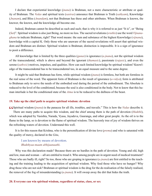<span id="page-21-0"></span>I declare that experiential knowledge (*[jnana](#page-44-0)*) is [Brahman,](#page-42-0) not a mere characteristic or attribute or quality of [Brahman](#page-42-0). The *[Vedas](#page-50-9)* and spiritual texts (*[sastras](#page-48-0)*) announce that [Brahman](#page-42-0) is Truth (*[sathyam](#page-48-1)*), Knowledge (*[Jnanam](#page-44-0)*), and Bliss (*[Anandam](#page-40-8)*), not that [Brahman](#page-42-0) has these and other attributes. When [Brahman](#page-42-0) is known, the knower, the known, and the knowledge all become one.

Indeed, [Brahman](#page-42-0) cannot be described as such and such; that is why it is referred to as just "It is", or "Being (*[Sat](#page-48-11)*)". Spiritual wisdom is also just Being, no more no less. The sacred revelations (*[sruthis](#page-48-6)*) use the word *[Vijnana](#page-50-10)[ghana](#page-50-10)* to indicate [Brahman](#page-42-0), right? That word means: the sum and substance of the highest Knowledge (*[vijnana](#page-50-6)*), knowledge with a capital K. Only those who are unaware of the sacred revelations will assert that spiritual wisdom and [Brahman](#page-42-0) are distinct. Spiritual wisdom is [Brahman;](#page-42-0) distinction is impossible. It is a sign of ignorance to posit a difference.

All knowledge that is limited by the three qualities (*[gunas](#page-43-2)*) is ignorance (*[a-jnana](#page-40-15)*), not the spiritual wisdom of the transcendental, which is above and beyond the ignorant (*[thamasic](#page-49-11)*), passionate (*[rajasic](#page-46-8)*), and even the serene (*[sathwic](#page-48-7)*) motives, impulses, and qualities. How can such limited knowledge be spiritual wisdom? Knowledge of the transcendental has to be transcendental too, in an equal measure and to the same degree.

It might be said that [Brahman](#page-42-0) has form, while spiritual wisdom (*[jnana](#page-44-0)*) is formless, but both are formless in the real sense of the word. The apparent form of [Brahman](#page-42-0) is the result of ignorance (*[a-vidya](#page-41-13)*); form is attributed to [Brahman](#page-42-0) only to serve the needs of the embodied soul during the period of the embodiment. The Absolute is reduced to the level of the conditioned, because the soul is also conditioned in the body. Not to know that this human interlude is but the conditioned state of the *[Atma](#page-41-1)* is to be reduced to the dullness of the beast.

#### **19. Take up the chief path to acquire spiritual wisdom: devotion**

**C** Spiritual wisdom (*[jnana](#page-44-0)*) is the panacea for all ills, troubles, and travails." This is how the *[Vedas](#page-50-9)* describe it.<br>There are many paths to acquire this wisdom, and the chief among them is the path of devotion (*bhak* There are many paths to acquire this wisdom, and the chief among them is the path of devotion (*[bhakthi](#page-41-16)*), which was adopted by [Vasishta,](#page-50-4) [Narada,](#page-45-16) [Vyasa](#page-51-3), [Jayadeva,](#page-43-13) [Gauranga,](#page-43-14) and other great people. As the oil is to the

flame in the lamp, so is devotion to the flame of spiritual wisdom. The heavenly tree of joy of wisdom thrives on the refreshing waters of devotion. Understand this well.

It is for this reason that [Krishna,](#page-44-8) who is the personification of divine love (*[prema](#page-46-16)*) and who is saturated with the quality of mercy, declared in the *[Gita](#page-43-0)*,

I am known by means of devotion. *Bhakthyaa-maam abhijaanaathi*.

Why was this declaration made? Because there are no hurdles in the path of devotion. Young and old, high and low, man and woman —all are entitled to tread it. Who among people are in urgent need of medical treatment? Those who are badly ill, right? So too, those who are groping in ignorance (*[a-jnana](#page-40-15)*) are first entitled to the teaching and the training leading to the acquisition of spiritual wisdom. Why feed those who have no hunger? Why drug those who are not sick? [Brahman](#page-42-0) or spiritual wisdom is the drug for the de-realisation of the falsely realised, the removal of the fog of misunderstanding (*[a-jnana](#page-40-15)*). It will sweep away the dirt that hides the truth.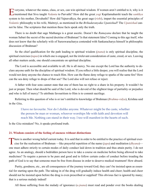<span id="page-22-0"></span>T veryone, whatever the status, class, or sex, can win spiritual wisdom. If women aren't entitled to it, why is it<br>mentioned that Siva taught Vedanta to Parvathi? How did the great yogi Kapilamaharshi teach the sankhya system to his mother, [Devahuthi](#page-42-13)? How did [Yajnavalkya](#page-51-5), the great sage (*[rishi](#page-47-10)*), impart the essential principles of *[Vedantic](#page-50-12)* philosophy to his wife, [Maitreyi](#page-44-10), as mentioned in the *[Brihadaranyaka Upanishad](#page-42-14)*? The *[Upanishad](#page-49-5)* cannot be false. The scriptures that mention these facts speak only the truth.

There is no doubt that sage [Mathanga](#page-45-17) is a great ascetic. Doesn't the *[Ramayana](#page-47-11)* declare that he taught the woman [Sabari](#page-47-12) the secret of the sacred doctrine of [Brahman?](#page-42-0) Is that statement false? Coming to this age itself, who does not know that the scholarly wife of [Sureswaracharya](#page-49-16) contended with [Sankaracharya](#page-47-13) himself in philosophic discussion of [Brahman?](#page-42-0)

So the chief qualification for the path leading to spiritual wisdom (*[jnana](#page-44-0)*) is only spiritual discipline, the spiritual exercises (*[tapas](#page-49-0)*) in which one is engaged, not the irrelevant consideration of caste, creed, or sex. Leaving all other matters aside, one should concentrate on spiritual discipline.

The Lord is accessible and available to all. He is all mercy. No one except the Lord has the authority to declare anyone unfit for the discipline of spiritual wisdom. If you reflect a little deeper, you will realise that the Lord would not deny anyone the chance to reach Him. How can the flame deny refuge to sparks of the same fire? How can the sea deny refuge to drops of that sea? The Lord also will not refuse or reject.

A father with four sons cannot state that one of them has no right to a share in his property. It wouldn't be just or proper. Then what should be said of the Lord, who is devoid of the slightest tinge of partiality or prejudice and who is full of mercy? To attribute favouritism to Him is to commit sacrilege.

Referring to this question of who is or isn't entitled to knowledge of [Brahman](#page-42-0) (*[Brahma-vidya](#page-42-15)*), [Krishna](#page-44-8) said in the *[Gita](#page-43-0)*,

I have no favourite. Nor do I dislike anyone. Whatever might be the caste, whether the person be man or woman, whoever worships Me with faith and devotion will reach Me. Nothing can stand in their way. I too will manifest in the hearts of such.

Is the *[Gita](#page-43-0)* mistaken? No, it speaks profound truth.

#### **21. Wisdom consists of the feeling of oneness without distinctions**

There is another wrong belief current today. It is said that in order to be entitled to the practice of spiritual exercise for the realisation of Brahman —like prayerful repetition of the name  $(japa)$  and meditation  $(dhyana)$  one must adhere strictly to certain modes of daily conduct laid down in tradition and thus attain purity. I do not agree. As an analogy, should a bedridden person have to take a course on medicine before being allowed to take medicines? To require a person to be pure and good and to follow certain codes of conduct before treading the path of God is to say that someone must be free from disease in order to deserve medical treatment! How absurd.

Purity, goodness, etc., are all consequences of the journey toward God; they can't be insisted upon as essential for starting upon the path. The taking in of the drug will gradually induce health and cheer; health and cheer should not be insisted upon before the drug is even prescribed or supplied! This obvious fact is ignored by many; that is a serious malady indeed!

All those suffering from the malady of ignorance (*[a-jnana](#page-40-15)*) must read and ponder over the books dealing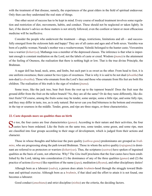<span id="page-23-0"></span>with the treatment of that disease, namely, the experiences of the great elders in the field of spiritual endeavour. Only then can they understand the real state of things.

One other secret of success has to be kept in mind. Every course of medical treatment involves some regulation and restriction of diet, movements, habits, and conduct. These should not be neglected or taken lightly. In fact, if the doctor's advice on these matters is not strictly followed, even the costliest or latest or most efficacious medicine will be ineffective.

Consider the people who underwent the treatment —drugs, restrictions, limitations and all— and successfully emerged from the sickroom hale and happy! They are of all castes and ages and of both sexes. [Vasishta](#page-50-4) was born of a public woman; [Narada'](#page-45-16)s mother was a washerwoman; [Valmiki](#page-50-13) belonged to the hunter caste; [Viswamitra](#page-51-6) was a warrior (*[kshatriya](#page-44-11)*); [Mathanga](#page-45-17) was a member of the depressed classes. The inference is that what is important enough is constant meditation on the Lord, not the labels of caste or creed. Wisdom (*[jnana](#page-44-0)*) is the attainment of the feeling of Oneness, the realisation that there is nothing high or low. That is the true divine Principle, the [Brahman.](#page-42-0)

A sugar doll has head, neck, arms, and limbs, but each part is as sweet as the other. From head to foot, it is one uniform sweetness; there cannot be two types of sweetness. That is why it is said to be not dual (*[dwaitha](#page-43-16)*) but non-dual (*[a-dwaitha](#page-40-16)*). Those who emanate from the Lord's face and those who emanate from His feet are both His children. The realisation of this truth is the sign of wisdom (*[jnana](#page-44-0)*).

Some trees, like the jack tree, bear fruit from the root up to the topmost branch! Does the fruit near the ground differ from the fruit on the tallest branch? No, they are all the same? Or do they taste differently, like distinct fruits? Of course, among the fruits some may be tender, some unripe, some a little ripe, and some fully ripe, and they may differ in taste, too, as is only natural. But never can you find bitterness in the bottom and sweetness in the top or sourness in the middle. Tender, green, and ripe are three stages, or three characteristics.

#### **22. Caste depends more on qualities than on birth**

So too, the four castes are four characteristics (*[gunas](#page-43-2)*). According to their nature and their activities, the four Castes have been ordained. Like the fruits on the same tree, some tender, some green, and some ripe, men are classified into four groups according to their stage of development, which is judged from their actions and character.

Those in whose thoughts and behaviour the pure quality (*[sathwa-guna](#page-48-9)*) predominates are grouped as *[brah](#page-42-16)[mins](#page-42-16)*, who are progressing along the path toward [Brahman](#page-42-0). Those in whom the active quality (*[rajoguna](#page-46-18)*) is dominant are referred to as protectors or warriers (*[kshatriyas](#page-44-11)*). Thus, the scriptures (*[sastras](#page-48-0)*) have spoken of ingrained qualities as the basis of caste, not otherwise. Why? The *[Gita](#page-43-0)* itself proclaims that the four castes have been established by the Lord, taking into consideration (1) the dominance of any of the three qualities (*[gunas](#page-43-2)*) and (2) the practice of actions (*[karmas](#page-44-12)*) like repetition of the name (*[japa](#page-43-15)*), meditation (*[dhyana](#page-43-3)*), and other disciplinary duties!

Alhough born as a labourer (*[sudra](#page-48-15)*), a person does attain *[brahmin](#page-42-16)*-hood through the struggle toward [Brah](#page-42-0)[man](#page-42-0) and spiritual exercise. Although born as a *[brahmin](#page-42-16)*, if that ideal and the effort to attain it is not found, one becomes a labourer.

Good conduct (*[anushtana](#page-40-17)*) and strict discipline (*[nishta](#page-45-18)*) are the criteria, the deciding factors.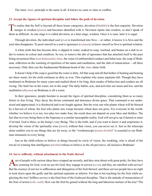<span id="page-24-0"></span>The inner *[Atmic](#page-41-0)* principle is the same in all. It knows no caste or class or conflict.

#### **23. Accept the rigours of spiritual discipline and follow the path of devotion**

To realise that the Self is beyond all these lesser categories, devotion ([bhakthi](#page-41-16)) is the first requisite. Devotion merges in wisdom (jnana) and becomes identified with it. Devotion ripens into wisdom, so don't speak of them as different. At one stage it is called devotion, at a later stage, wisdom. Once it is cane, later it is sugar.

Through devotion, the individual soul (*[jiva](#page-43-5)*) is transformed into [Siva](#page-48-14) —or rather, it knows it is [Siva](#page-48-14) and the soul-idea disappears. To posit oneself as a soul is ignorance (*[a-jnana](#page-40-15)*); to know oneself as [Siva](#page-48-14) is spiritual wisdom.

A white cloth that has become dirty is dipped in water, soaked in soap, warmed, and beaten on a slab in order to restore its colour and condition. So too, to remove the dirt of ignorance that has attached itself to the pure being-awareness-bliss (*[satchidananda](#page-48-4)*) *[Atma](#page-41-1)*, the water of unblemished conduct and behaviour, the soap of [Brah](#page-42-0)[man,](#page-42-0) reflection on the warming of repetition of the name and meditation, and the slab of renunciation —all three necessary. Only then can the fundamental [Brahman-](#page-42-0)hood of the *[Atma](#page-41-1)* shine forth.

It doesn't help if the soap is good but the water is dirty. All that soap and all that bother of heating and beating are sheer waste, for the cloth continues as dirty as ever. This explains why many aspirants fail. Though they have meditated on [Brahman](#page-42-0) for many years and studied about it for long, their modes of behaviour and conduct are all wrong. The fault lies in the water, not in the soap! The daily habits, acts, and activities are mean and low, and the meditation (*[dhyana](#page-43-3)*) on [Brahman](#page-42-0) is all a waste.

In their ignorance, people hesitate to accept the rigors of spiritual discipline, considering them as so many fetters to free living. They decry the divine command and denounce divine grace. That command is not understood and appreciated; it is disobeyed and even fought against. But the wise one who plants wheat will be blessed by a harvest of wheat; the fool who plants tare weeps because wheat does not grow. For everyone in the world, whether we believe it or not, two plus two make four; the result does not depend on your likes and dislikes. The fact that in every being there is the Supreme is a similar inescapable reality. God will not give up if denied or enter if invited. God is there, as the being's very Being. This is the truth, and if you want to know it and experience it, develop the vision of the spiritually wise (*[jnani](#page-44-4)*); without that vision, you can never see it. Just as the telescope alone enables you to see things that are far away, so the "wisdomscope (*[jnana-drishti](#page-44-13)*)" is essential to see [Brah](#page-42-0)[man](#page-42-0) immanent in every being.

Just as the child refuses to believe in things beyond its circle of vision, the weakling, who is afraid of the travail of winning that intelligence (*[drishti](#page-43-17)*) refuses to believe in the all-pervasive, all-inclusive [Brahman!](#page-42-0)

#### **24. Serve selflessly, without attachment to the fruits thereof**

set of people with curious ideas have cropped up recently, and they strut about with great pride, for they have no yearning for God, even no use for God; they engage in service (*seva*), and they are satisfied with service! But the essence of service is selflessness and abnegation of the fruit thereof, and these service people have no right to look down upon the godly and the spiritual aspirants as inferior. For that is but reaching for the fruit while neglecting the tree! Selfless service is the final fruit of the Godward discipline. That is the attitude of renunciation of the fruit of action (*who reall*). How can the fruit be gained without the long and laborious nurture of the tree? The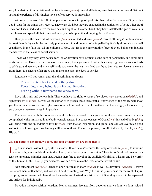<span id="page-25-0"></span>very foundation of renunciation of the fruit is love (*[prema](#page-46-16)*) toward all beings, love that seeks no reward. Without spiritual experience of this higher love, selfless service is impossible.

At present, the world is full of people who clamour for good profit for themselves but are unwilling to give good value for the things they receive. They want God, but they are engaged in the cultivation of some other crop! They don't seek God and strive for God day and night; on the other hand, they have installed the god of wealth in their hearts and spend all their time and energy worshipping it and praying for its favour.

How pure is the heart full of devotion (*[bhakthi](#page-41-16)*) to God and love (*[prema](#page-46-16)*) toward all things! Selfless service is possible only by such; the rest only prattle about it and pretend to be impelled by it. Only those who are well established in the faith that all are children of God, that He is the inner motive force of every being, can include themselves in that class of social servants.

Those who say they have no use for God or devotion have egotism as the core of personality and exhibition as its outer rind. However much is written and read, that egotism will not wither away. Ego consciousness leads to self-aggrandizement, and when self holds sway over the heart, no deed worthy to be styled service can emanate from them. It is sheer selfish greed that makes one label the deed as service.

Ignorance will not vanish until this discrimination dawns:

This world is only God and nothing else. Everything, every being, is but His manifestation, Bearing withal a new name and a new form.

Love this truth, and believe in it. Then you have the right to speak of service (*[seva](#page-48-16)*), devotion (*[bhakthi](#page-41-16)*), and righteousness (*[dharma](#page-43-18)*) as well as the authority to preach these three paths. Knowledge of the reality will show you that service, devotion, and righteousness are all one and indivisible. Without that knowledge, selfless service, etc., become mere exercises in hypocrisy.

Every act done with the consciousness of the body is bound to be egotistic; selfless service can never be accomplished while immersed in the body-consciousness. But consciousness of God (*[Deva](#page-42-17)*) instead of body (*[deha](#page-42-18)*) will bring forth the splendour of love (*[prema](#page-46-16)*). With that as inspiration and guide, one can achieve much good without even knowing or proclaiming selfless in outlook. For such a person, it is all God's will, His play (*[leela](#page-44-14)*), His work.

#### **25. The paths of devotion, wisdom, and non-attachment are inseparable**

I ight is wisdom. Without light, all is darkness. If you haven't secured the lamp of wisdom ([jnana](#page-44-0)) to illumine<br>your path, you stumble along in the gloom, with fear as your companion. There is no falsehood greater than fear, no ignorance mightier than that. Decide therefore to travel in the daylight of spiritual wisdom and be worthy of this human birth. Through your success, you can even make the lives of others worthwhile.

Non-attachment (*[vairagya](#page-49-6)*) depends upon spiritual wisdom (*[jnana](#page-44-0)*) as well as devotion (*[bhakthi](#page-41-16)*). Deprive non-attachment of that basis, and you will find it crumbling fast. Why, this is the prime cause for the want of spiritual progress at present. All these three have to be emphasised in spiritual discipline; they are not to be separated and striven for individually.

Devotion includes spiritual wisdom. Non-attachment isolated from devotion and wisdom, wisdom isolated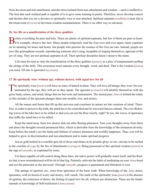<span id="page-26-0"></span>from devotion and non-attachment, and devotion isolated from non-attachment and wisdom —each is ineffective. The best that each isolated path is capable of is to give some training in purity. Therefore, never develop conceit and declare that you are a devotee or spiritually wise or non-attached. Spiritual aspirants (*[sadhakas](#page-47-4)*) must dip in the triumvirate (*[triveni](#page-49-17)*) of devotion-wisdom-nonattachment. There is no other way to salvation.

#### **26. See life as a manifestation of the three qualities**

Before everything, be pure and holy. There are plenty of spiritual aspirants, but few of them are pure in heart.<br>For example, observe this fact: Many people religiously read the *Gita* over and over again, many expatiate on its meaning for hours and hours, but people who practise the essence of the *[Gita](#page-43-0)* are rare. Instead, people are now like gramophone records, reproducing someone else's song, incapable of singing themselves, ignorant of the joy of song. They are not spiritual aspirants at all. Their spiritual discipline doesn't deserve the name.

Life must be seen as only the manifestation of the three qualities (*[gunas](#page-43-2)*), as a play of temperaments pulling the strings of the dolls. This awareness must saturate every thought, word, and deed. That is the wisdom (*[jnana](#page-44-0)*) you need. All else is ignorance (*[a-jnana](#page-40-15)*).

#### **27. Be spiritually wise: without ego, without desires, with equal love for all**

The spiritually wise (*[jnanis](#page-44-4)*) will have no trace of hatred in them. They will love all beings; they won't be contaminated by the ego; they will act as they speak. The ignorant (*[a-jnanis](#page-40-18)*) will identify themselves with the gross body, senses, and mind, things that are but tools and instruments. The eternal pure *[Atma](#page-41-1)* is behind the mind, so this mistake of the ignorant plunges them into trouble, loss, and misery.

All the names and forms that fill up this universe and constitute its nature are but creations of mind. Therefore, in order to perceive the truth, the mind has to be controlled and its wayward fancies calmed. The ever-flickering waves of the lake have to be stilled so that you can see the floor clearly, right? So too, the waves of ignorance that ruffle the mind have to be stilled.

Keep the mind away from low desires that run after fleeting pleasures. Turn your thoughts away from them and direct the thoughts toward permanent bliss, which is derivable from the knowledge of the immanent divinity. Keep before the mind's eye the faults and failures of sensory pleasures and worldly happiness. Thus, you will be helped to grow in discrimination and non-attachment and to make spiritual progress.

Just as gold melted in a crucible gets rid of dross and shines in its pristine glory, so too, one has to be melted in the crucible of *[yoga](#page-51-1)* by the fire of detachment (*[vairagya](#page-49-6)*). Being possessed of this spiritual wisdom (*[jnana](#page-44-0)*) is the sign of *[samadhi](#page-47-2)*, as explained by some.

For those capable of self-control along these lines, the native power will gradually assert itself, and the Reality that is now misunderstood will be rid of that fog. Patiently cultivate the habit of meditating on your *[Atma](#page-41-1)*-hood and see the particular as the universal. Through *[samadhi](#page-47-2)*, progress is guaranteed and liberation is won.

The springs of egotism, etc., arise from ignorance of the basic truth. When knowledge of the *[Atma](#page-41-1)* arises, ignorance, with its brood of worry and misery, will vanish. The mark of the spiritually wise (*[jnani](#page-44-4)*) is the absence of egotism, the extinction of desire, the feeling of equal love for all, without any distinction. These are the fundamentals of knowledge of Self-realisation (*[Atma-jnana](#page-41-3)*).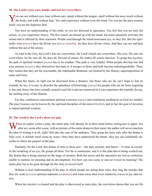#### <span id="page-27-0"></span>**28. The Lord's eyes, ears, hands, and feet are everywhere**

You can see without eyes, hear without ears, speak without the tongue, smell without the nose, touch without the body, and walk without legs. Yes, and experience without even the mind. For you are the pure essence itself; you are the Supreme Self.

You have no understanding of this truth, so you are drowned in ignorance. You feel that you are only the senses, so you experience misery. The five senses are bound up with the mind; the mind separately activates the senses and is affected by their reactions. People read through the mind-associated eye, so they fail. But the spiritually wise (*[jnanis](#page-44-4)*) have the divine eye (*[divya-chakshu](#page-43-19)*), for they have divine vision. And they can see and hear without the aid of the senses.

As said in the *[Gita](#page-43-0)*, the Lord's feet are everywhere, the Lord's hands are everywhere. His eyes, His ears are everywhere. So He sees all, He does all. Devoid of senses, He makes all senses function. To grasp this mystery, the path of spiritual wisdom (*[jnana](#page-44-0)*) has to be trodden. This path is very helpful. When people develop into full wise persons (*[jnanis](#page-44-4)*), they themselves becomes It, It merges in them, and both become indistinguishable. Then, they realise that they are the inscrutable, the indefinable [Brahman](#page-42-0), not limited by the illusory superimposition of name and form.

When fire burns, its light can be discerned from a distance, but those who are far can't hope to feel its warmth. So too, it is easy to describe the splendour of knowledge (*[jnana](#page-44-0)*) for people who are far from acquiring it, but only those who have actually neared it and felt it and are immersed in it can experience the warmth, the joy, the melting away of the illusion.

For this, continuous concentrated spiritual exercises (*[tapas](#page-49-0)*) and continuous meditation on God are needed. The pure Essence can be known by the spiritual discipline of devotion (*[bhakthi](#page-41-16)*), and in fact the goal of devotion is indeed spiritual wisdom.

#### **29. The world is the Lord's three-act play**

When an author writes a play, the entire play will already be in their mind before setting pen to paper. Act after act, scene after scene, with no picture of the entire drama in their mind, the author will never entertain the idea of writing it at all, right? But take the case of the audience. They grasp the story only after the drama is fully over; it unfolds itself scene by scene. Once they have understood the theme, they too can confidently describe to others the purport of the play.

Similarly, for the Lord, this drama of time in three acts —the past, present, and future— is clear as crystal. In the twinkling of an eye, He grasps all three. For He is omniscient, and it is His plan that is being worked out, His drama that is being enacted on the stage of creation. Both the actors and the spectators are lost in confusion, unable to surmise its meaning and its development. For how can one scene or one act reveal its meaning? The entire play has to be gone through for the story to reveal itself.

Without a clear understanding of the play in which people are acting their roles, they hug the mistake that they are souls (*[jivis](#page-43-6)*) or spiritual aspirants (*[sadhakas](#page-47-4)*) and waste away their lives, beaten by waves of joy and sorrow.

When the mystery is cleared and the play is discovered as mere play, the conviction dawns that you are He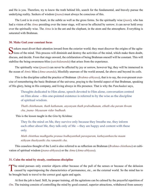<span id="page-28-0"></span>and He is you. Therefore, try to know the truth behind life, search for the fundamental, and bravely pursue the underlying reality. Seekers of wisdom (*[jnana](#page-44-0)*) must always be conscious of this.

The Lord is in every heart, in the subtle as well as the gross forms. So the spiritually wise (*[jnani](#page-44-4)*), who has had a vision of the *[Atma](#page-41-1)* presiding over the inner stage, will never be affected by sorrow; it can never hold sway over the spiritually wise. The *[Atma](#page-41-1)* is in the ant and the elephant, in the atom and the atmosphere. Everything is saturated with [Brahman.](#page-42-0)

#### **30. Make God your constant focus**

 $\bigcap$  eekers must divert their attention inward from the exterior world; they must discover the origins of the agita- $\bigcup$  tions of the mind. This process will diminish and destroy the activities of the mind, which make them doubt, discuss, and decide. From that stage onward, the exhilaration of being [Brahman](#page-42-0) oneself will be constant. This will stabilise the being-awareness-bliss (*[satchidananda](#page-48-4)*) that arises from the experience.

The spiritually wise (*[jnanis](#page-44-4)*) can never be affected by joy or sorrow, however big; they will be immersed in the ocean of *[Atmic](#page-41-0)* bliss (*[Atma-ananda](#page-41-5)*), blissfully unaware of the world around, far above and beyond its coils.

This is the discipline called the practice of [Brahman](#page-42-0) (*[Brahma-abhyasa](#page-42-1)*), that is to say, the ever-present exercise of remembering the basic [Brahman](#page-42-0) of the universe, praying to the formful aspect of that [Brahman](#page-42-0), speaking of His glory, being in His company, and living always in His presence. That is why the *[Panchadasi](#page-46-19)* says,

Thoughts dedicated to Him alone, speech devoted to Him alone, conversation centred on Him alone —this one-pointed existence is referred to by the wise as the discipline of spiritual wisdom.

*Thath chinthanam, thath kathanam, anyonyam thath prabodhanam, ethath eka param thwam cha, jnana- bhyaasam vidur budhaah.*

This is the lesson taught in the *[Gita](#page-43-0)* by [Krishna](#page-44-8):

They fix the mind on Me, they survive only because they breathe me, they inform each other about Me, they talk only of Me —they are happy and content with these only.

*Math chintthaa madhgatha pranaa bodhayanthah parasparam, kathayanthascha maam nithyam thushyanthi cha ramanthi cha.*

This ceaseless thought of the Lord is also referred to as reflection on [Brahman](#page-42-0) (*[Brahma-chinthana](#page-42-19)*) or cultivation of spiritual wisdom (*[jnana-abhyasa](#page-44-5)*) or the *[Atma](#page-41-1)* (*[Atma-abhyasa](#page-41-17)*).

#### **31. Calm the mind by steady, continuous discipline**

The mind pursues only exterior objects either because of the pull of the senses or because of the delusion **L** caused by superimposing the characteristics of permanence, etc., on the external world. So the mind has to be brought back to travel to the correct goal again and again.

At first the job is hard. Still, by proper training, all the agitations can be calmed by the prayerful repetition of *[Om](#page-45-4)*. The training consists of controlling the mind by good counsel, superior attractions, withdrawal from sensory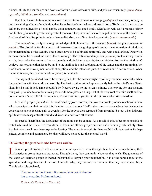<span id="page-29-0"></span>objects, ability to bear the ups and downs of fortune, steadfastness or faith, and poise or equanimity (*[sama](#page-47-5)*, *[dama](#page-42-2)*, *[uparathi](#page-49-3)*, *[thithiksha](#page-49-4)*, *[sraddha](#page-48-5)*, and *[sama-dhana](#page-47-6)*).

If, at first, the recalcitrant mind is shown the sweetness of devotional singing (*[bhajan](#page-41-6)*), the efficacy of prayer, and the calming effects of meditation, then it can be slowly turned toward meditation of [Brahman.](#page-42-0) It must also be led on by the cultivation of good habits, good company, and good deeds. Meditation will, as it proceeds further and further, give rise to greater and greater keenness. Thus, the mind has to be caged in the cave of the heart. The final result of this discipline is no less than undisturbed, undifferentiated equanimity (*[nir-vikalpa-samadhi](#page-45-3)*).

This *[samadhi](#page-47-2)* is, really speaking, knowledge of [Brahman](#page-42-0) itself, the wisdom (*[jnana](#page-44-0)*) that grants release, or *[moksha](#page-45-0)*. The discipline for this consists of three exercises: the giving up of craving, the elimination of mind, and the understanding of the Reality. These three have to be cultivated uniformly and with equal ardour. Otherwise, success cannot be ensured; no one of them is enough. The instincts and impulses (*[vasanas](#page-50-1)*) are too strong to yield easily; they make the senses active and greedy and bind the person tighter and tighter. So that the mind won't achieve mastery, attention has to be paid to the sublimation and subjugation of the senses and the promptings behind them, to the development of self-abnegation, and the relentless pursuit of reason and discrimination. When the mind is won, the dawn of wisdom (*[jnana](#page-44-0)*) is heralded.

The aspirant (*[sadhaka](#page-47-4)*) has to be ever-vigilant, for the senses might recoil any moment, especially when the *[yogi](#page-51-4)* mixes with the world and worldly. The basic truth must be kept constantly before the mind's eye. Wants shouldn't be multiplied. Time shouldn't be frittered away, no, not even a minute. The craving for one pleasant thing will give rise to another craving for a still more pleasant thing. Cut at the very root of desire itself and become master of yourself. The renouncing of desire will take you fast to the pinnacle of spiritual wisdom.

Liberated people (*[jnanis](#page-44-4)*) will be unaffected by joy or sorrow, for how can events produce reactions in them who have wiped out their minds? It is the mind that makes one "feel"; when one has taken a drug that deadens the consciousness, one feels no pain or even joy, for the body is then separated from the mind. So too, when it dawns, spiritual wisdom separates the mind and keeps it aloof from all contact.

By special discipline, the turbulence of the mind can be calmed. As a result of this, it becomes possible to taste the bliss of the *[Atma](#page-41-1)*, free from its pulls. The mind attracts people outward and offers only external objective joy, but wise ones know these joys to be fleeting. The *[Atma](#page-41-1)* is enough for them to fulfil all their desires for happiness, complete and permanent. So, they will have no need for the external world.

#### **32. Worship the great souls who have won wisdom**

iberated people *([jnanis](#page-44-4))* will also acquire some special powers through their beneficent resolutions, their beneficent promptings and purposes. Through these, they can attain whatever they wish. The greatness of the status of liberated people is indeed indescribable, beyond your imagination. It is of the same nature as the splendour and magnificence of the Lord Himself. Why, they become the [Brahman](#page-42-0) that they have always been. That is why it is declared,

The one who has known [Brahman](#page-42-0) becomes [Brahman](#page-42-0); hat one attains [Brahman](#page-42-0)-hood.

*Brahmavid Brahmaiva Bhavathi,*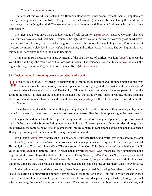#### *Brahmavid aapnothi param*.

<span id="page-30-0"></span>The fact that this world is unreal and that [Brahman](#page-42-0) alone is real must become patent; then, all impulses are destroyed and ignorance is demolished. The gem of spiritual wisdom (*[jnana](#page-44-0)*) has been stolen by the mind, so regain the gem by catching the mind. The gem entitles you to the status and dignity of [Brahman](#page-42-0), which you assume immediately.

The great souls who have won this knowledge of self-realisation (*[Atma-jnana](#page-41-3)*) deserve worship. They are holy, for they have attained [Brahman](#page-42-0) —which is the right of everyone in the world, however great or whatever the spiritual discipline (*[tapas](#page-49-0)*). That is the kingdom they seek, the honour for which they aspire. This is the great mystery, the mystery elucidated in the *[Vedas](#page-50-9)*, *[Upanishads](#page-49-5)*, and spiritual texts (*[sastras](#page-48-0)*). The solving of this mystery makes life worthwhile; it is the key to liberation.

Truth and untruth must be cut apart by means of the sharp sword of spiritual wisdom (*[jnana](#page-44-0)*). It keeps the world afar and brings the residence of the Lord within reach. That residence is eternal bliss (*[nithya-ananda](#page-45-19)*), the highest bliss (*[param-ananda](#page-46-20)*), the bliss of [Brahman](#page-42-0) Itself (*[Brahma-ananda](#page-42-20)*).

#### **33. Illusion makes Brahman appear as soul, God, and world**

 $\sum$  *J* orldly illusion (*[maya](#page-45-6)*), by means of its power of (1) hiding the real nature and (2) imposing the unreal over the real, makes the one-and-only [Brahman](#page-42-0) appear as the soul (*[jiva](#page-43-5)*), God (*[Iswara](#page-43-9)*), and the world (*[jagath](#page-43-7)*) —three entities where there is only one! The faculty of illusion is latent, but when it becomes patent, it takes the form of the mind. It is then that the seedling of the huge tree (that is, this world) starts sprouting, putting forth the leaves of mental impulses (*[vasanas](#page-50-1)*) and mental conclusions (*[sankalpas](#page-47-14)*). So, all this objective world is but the play of the mind.

The individual soul and the Supreme Being are caught up in this proliferation, and they are inseparably intertwined in the world, so they are also creations of mental processes, like the things appearing in the dream-world.

Imagine the individual soul, the Supreme Being, and the world as having been painted; the pictorial world has both the soul and the Supreme Being incorporated in it, and all three appear as different entities, although they are created by the same paint. So also, the same mental process creates the appearance of the soul and the Supreme Being as pervading and immanent, in the background of the world.

It is illusion (*[maya](#page-45-6)*) that produces the illusion of soul, Supreme Being, and world; this is declared by the oral texts (*[sruthis](#page-48-6)*). Didn't the *[Vasishta-smrithi](#page-50-14)* make clear that mental processes are responsible for the magic dance of He and I, this and That, and mine and His? The expression "I am God–This (*[Soham](#page-48-17)[-idam](#page-43-20)*)" found in that text indicates the soul (*[jiva](#page-43-5)*), the Supreme Being (*[Iswara](#page-43-9)*), and the world (*[jagath](#page-43-7)*). "*Sah*" means He, the Unmanifested, the Super-soul, the Power beyond and above, the Supreme Being (*[Iswara](#page-43-9)*). "*[Aham](#page-40-5)*" means "I", the entity enveloped by the consciousness of doer, etc. "*[Idam](#page-43-20)*" means this objective world, the perceivable sense-world. So, it is clear that these three are only the products of mental processes and have no absolute value; their value is only relative.

In the waking stage and during dreaming, these three appear as real, but during deep sleep or while unconscious (as during a fainting fit), the mind is not working, so the three don't exist! This fact is within the experience of all. Therefore, it is easy now for you to realise that all three will disappear for good when, through spiritual wisdom (*[jnana](#page-44-0)*), the mental processes are destroyed. Then one gets release from bondage to all these three, and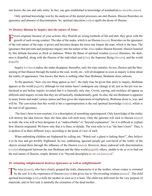<span id="page-31-0"></span>one knows the one and only entity. In fact, one gets established in knowledge of nondualism (*[a-dwaitha](#page-40-16) [jnana](#page-44-0)*).

Only spiritual knowledge won by the analysis of the mental processes can end illusion. Illusion flourishes on ignorance and absence of discrimination. So, spiritual education (*[vidya](#page-50-15)*) spells the doom of illusion.

#### **34. Destroy illusion by inquiry into the nature of Atma**

**P** evers originate because of your actions; they flourish on wrong methods of life and diet; they grow with the growth of such wrong conduct. The idea of the snake, which is an illusion  $(maya)$  $(maya)$  $(maya)$ , flourishes on the ignorance of the real nature of the rope; it grows and becomes deeper the more one forgets the rope, which is the base. The ignorance that prevents and postpones inquiry into the nature of the *[Atma](#page-41-1)* makes illusion flourish; illusion fostered by this attitude becomes as thick as darkness. When the flame of spiritual wisdom (*[jnana](#page-44-0)*) illumines, the darkness is dispelled, along with the illusion of the individual soul (*[jiva](#page-43-5)*), the Supreme Being (*[Iswara](#page-43-9)*), and the world (*[jagath](#page-43-7)*).

Inquiry (*[vichara](#page-50-5)*) makes the snake disappear; thereafter, only the rope remains. So too, illusion and the blossoming of that illusion through the mind as the soul, world, etc., will all disappear as soon as inquiry is done about the reality of appearance. One knows that there is nothing other than [Brahman.](#page-42-0) [Brahman](#page-42-0) alone subsists.

To the question, "how can one thing appear as two", the reply may be given that, prior to inquiry, [Brahman](#page-42-0) appears as the world (*[jagath](#page-43-7)*), although its real nature hasn't undergone any change at all, just as the pot was understood as pot before inquiry revealed that it is basically only clay. Crown, earring, and necklace all appear as different until inquiry reveals that they are all basically, fundamentally, gold. So also, the one [Brahman](#page-42-0) is apparent in many forms and under various names and thus gives the impression of multiplicity. [Brahman](#page-42-0) alone is, was, and will be. The conviction that this world is but a superimposition is the real spiritual knowledge (*[vidya](#page-50-15)*), which is the end of all ignorance.

 The hare's horn is non-existent; it is a description of something superimposed. Only knowledge of the reality will destroy the idea forever; then, the false idea will melt away. Only the ignorant will stick to illusion (*[maya](#page-45-6)*) as truth; the wise will at best designate it as "indescribable" or "beyond explanation", for it is difficult to explain how illusion originated. We know only that it is there, to delude. The wise refer to it as "the hare's horn". Thus, it is spoken of in three different ways, according to the point of view of each.

When unthinking children are frightened by calling out, "Watch out! a ghost is lurking there!", they believe it to be true and get terribly frightened. So too, unthinking, ignorant people get convinced of the reality of the objects around them through the influence of the illusion (*[maya](#page-45-6)*). However, those endowed with discrimination (*[viveka](#page-51-0)*) distinguish between the true [Brahman](#page-42-0) and the false world (*[jagath](#page-43-7)*); others, unable to do so or to find out the real nature of illusion, simply dismiss it as "beyond description (*[a-nir-vachaneeya](#page-40-19)*)".

#### **35. Attaining enlightenment destroys ignorance as well as enlightenment!**

The wise ([jnanis](#page-44-4)), who have clearly grasped the truth, characterise it as the mother, whose corpse is cremated<br>by the son! It is the experience of illusion ([maya](#page-45-6)) that gives rise to "the revealing wisdom ([jnana](#page-44-0))". The chil spiritual knowledge (*[vidya](#page-50-15)*) kills the mother as soon as it is born. The child was delivered for the very purpose of matricide, and its first task is naturally the cremation of the dead mother.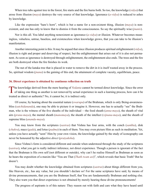<span id="page-32-0"></span>When tree rubs against tree in the forest, fire starts and the fire burns both. So too, the knowledge (*[vidya](#page-50-15)*) that arose from illusion (*[maya](#page-45-6)*) destroys the very source of that knowledge. Ignorance (*[a-vidya](#page-41-13)*) is reduced to ashes by knowledge.

Like the expression "hare's horn", which is but a name for a non-existent thing, illusion (*[maya](#page-45-6)*) is nonexistent, and one has only to know that to dismiss it from the consciousness. So say the spiritually wise (*[jnanis](#page-44-4)*).

Nor is this all. You label anything nonexistent as ignorance (*[a-vidya](#page-41-13)*) or illusion. Whatever becomes meaningless, valueless, untrue, baseless, and existenceless when knowledge grows, that you can take to be illusion's manifestation.

Another interesting point is this: It may be argued that since illusion produces spiritual enlightenment (*[vidya](#page-50-15)*), illusion is right and proper and deserving of respect, but the enlightenment that arises out of it is also not permanent. As soon as ignorance is destroyed through enlightenment, the enlightenment also ends. The trees and the fire are both destroyed when the fire finishes its work.

The nut of the kataka tree that is placed in water to remove the dirt in it is itself wasted away in the process. So, spiritual wisdom (*[jnana](#page-44-0)*) is the gaining of this end, the attainment of complete vacuity, equilibrium, peace.

#### **36. Direct experience is obtained by continous reflection on truth**

The knowledge derived from the mere hearing of *[Vedanta](#page-50-11)* cannot be termed direct knowledge. Since the error of taking one thing as another is not removed by actual experience in such a learning process, how can it be treated as direct or authentic? No, it cannot be; it is indirect only.

Of course, by hearing about the essential nature (*[swarupa](#page-49-14)*) of the [Brahman,](#page-42-0) which is only Being-awarenessbliss (*[satchidananda](#page-48-4)*), one may be able to picture it or imagine it. However, one has to actually "see" the [Brah](#page-42-0)[man,](#page-42-0) who is the witness of the five sheaths of the individual —the food sheath (*[anna-maya](#page-40-20)*), the sheath of vital airs (*[prana-maya](#page-46-21)*), the mental sheath (*[manomaya](#page-45-20)*), the sheath of the intellect (*[vijnana-maya](#page-50-16)*), and the sheath of supreme bliss (*[ananda-maya](#page-40-21)*).

You may know from the scriptures (*[sastras](#page-48-0)*) that Vishnu has four arms, with the conch (*[sankha](#page-47-15)*), disk (*[chakra](#page-42-21)*), mace (*[gada](#page-43-21)*), and lotus (*[padma](#page-46-22)*) in each of them. You may even picture Him as such in meditation. Yet, unless you have actually "seen" Him by your own vision, the knowledge gained by the study of iconography can never be honoured by the adjective *direct* (*[pratyaksha](#page-46-23)*).

Since [Vishnu](#page-50-17)'s form is considered different and outside when understood through the study of the scriptures (*[sastras](#page-48-0)*), what you get is really indirect inference, not direct experience. Though a person is ignorant of the fact that the [Brahman](#page-42-0) is His own self (not different or outside), why can't he realise Himself as [Brahman](#page-42-0) as soon as he hears the exposition of a maxim like "You are That (*Thath twam asi*)", which reveals that basic Truth? But he doesn't.

You may doubt whether the knowledge obtained from scriptures (*[sastras](#page-48-0)*) about things different from you, like Heaven, etc., has any value, but you shouldn't declare so! For the same scriptures have said, by means of divine pronouncements, that you are the [Brahman](#page-42-0) Itself, that You are fundamentally [Brahman](#page-42-0) and nothing else. They also warn you that direct experience is not obtained by merely hearing these divine pronouncements!

The progress of aspirants is of this nature: They reason out with faith and care what they have heard until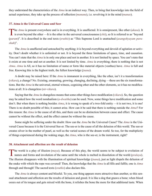<span id="page-33-0"></span>they understand the characteristics of the *[Atma](#page-41-1)* in an indirect way. Then, to bring that knowledge into the field of actual experience, they take up the process of reflection (*[manana](#page-45-21)*), i.e. revolving it in the mind (*[manas](#page-45-5)*).

#### **37. Atma is the Universal Cause and Seer**

The [Atma](#page-41-1) is present everywhere and is in everything. It is unaffected. It is omnipresent, like ether ([akasa](#page-40-22)). It is even beyond the ether —It is the ether in the universal consciousness (*[chit](#page-42-11)*), so It is referred to as " (*[param](#page-46-24)*)". It is described in the oral texts (*[sruthis](#page-48-6)*) as "This Supreme Lord is unattached (*asangohyayam purushah*)".

The *[Atma](#page-41-1)* is unaffected and untouched by anything; it is beyond everything and devoid of agitation or activity. Don't doubt whether it is unlimited or not. It is beyond the three limitations of space, time, and causation. You can't state that the *[Atma](#page-41-1)* is in only one place and not in another. It is not limited by space. You can't state that it exists at one time and not at another. It is not limited by time. *[Atma](#page-41-1)* is everything; there is nothing that is not *[Atma](#page-41-1)*. *[Atma](#page-41-1)* is All, so it has no limitation of name or form like material objects (vasthus) have. *[Atma](#page-41-1)* is full and free. Knowing this is the highest truth, the fullest knowledge (*[jnana](#page-44-0)*).

A doubt may be raised here: If the *[Atma](#page-41-1)* is immanent in everything, like the ether, isn't it a transformation (*[vikara](#page-50-18)*), a change? No. Existing, emanating, growing, changing, declining, dying —these are the six transformations. But the *[Atma](#page-41-1)* is the universal, eternal witness, cognising ether and the other elements, so it has no modifications at all. It is changeless (*[nir-vikara](#page-45-22)*).

Saying that the *[Atma](#page-41-1)* is changeless means that some other things have modification (*[vikara](#page-50-18)*). So, the question may be asked how the word nondualism (*[a-dwaitha](#page-40-16)*) can be used. Now, some things have modification and some don't. But when there is nothing besides *[Atma](#page-41-1)*, it is wrong to speak of a two-fold entity —it is not two, it is one! There is no doubt possible of this; it cannot arise. How can it be said that there is nothing outside the *[Atma](#page-41-1)*? For this reason: the *[Atma](#page-41-1)* is the cause of all this, and there can be no distinction between cause and effect. The cause cannot be without the effect, and the effect cannot be without the cause.

Some might be suffering under the doubt: How can the *[Atma](#page-41-1)* be the Universal Cause? The *[Atma](#page-41-1)* is the Universal Cause because it is the Universal See-er. The see-er is the cause of all the delusion of this world. The see-er creates silver in the mother of pearl, as well as the varied scenes of the dream world. So too, for the multiplicity of things experienced during the waking stage, the *[Atma](#page-41-1)*, who is the see-er, is the instrument, right?

#### **38. Attachment and affection are the result of delusion**

The world is a play of illusion (*[maya](#page-45-6)*). Because of this play, the world seems to be subject to evolution of names and forms and involution of the same until the whole is melted in dissolution of the world (*[pralaya](#page-46-0)*). The illusion disappears with the illumination of spiritual knowledge (*[jnana](#page-44-0)*), just as light dispels the delusion of the snake with which the rope was covered! Then, the knowledge that the *[Atma](#page-41-1)* is all fills and fulfils; one is *[Atma](#page-41-1)* through and through! The sacred texts (*[sruthis](#page-48-6)*) also declare this.

The *[Atma](#page-41-1)* is always content and blissful. To you, one thing appears more attractive than another, so this sensual attachment and affection are the results of delusion and greed. It is like a dog that gnaws a bone; when blood oozes out of its tongue and gets mixed with the bone, it relishes the bone the more for that additional taste. When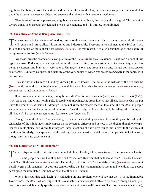<span id="page-34-0"></span>it gets another bone, it drops the first one and runs after the second. Thus, the *[Atma](#page-41-1)* superimposes its inherent bliss upon the external, evanescent object and envelops that object with a certain attractiveness.

Objects are taken to be pleasure-giving, but they are not really so; they only add to the grief. This affection toward things seen through the deluded eye is ever-changing, and it is limited, not unlimited.

#### **39. The nature of Atma is Being-Awareness-Bliss**

The attachment to the [Atma](#page-41-1) won't undergo any modifications. Even when the senses and body fall, the Atma will remain and infuse bliss. It is unlimited and indestructible. Everyone has attachment to the Self, or Atma. It is of the nature of the highest bliss (*[param-ananda](#page-46-20)*). For this reason, it is also described as of the nature of being-awareness-bliss (*[satchidananda](#page-48-4)*).

Are these three the characteristics or qualities of the *[Atma](#page-41-1)*? Or are they its essence, its nature? A doubt of this type may arise. Redness, heat, and splendour are the nature of fire, not its attributes. In the same way, *[Atma](#page-41-1)* has being, awareness, and bliss as its very nature. Fire (*[agni](#page-40-23)*) is one, and *[Atma](#page-41-1)* is also one, though both may appear as different. Liquidity, coldness, and taste are of the very nature of water; yet, water everywhere is the same, with no diversity.

*[Atma](#page-41-1)* is one; it subsumes all, and by knowing It, all is known. The *[Atma](#page-41-1)* is the witness of the five sheaths (*[kosas](#page-44-15)*) of the individual: the food, vital-air, mental, body, and bliss sheaths (*[anna-maya](#page-40-20)*, *[prana-maya](#page-46-21)*, *[manomaya](#page-45-20)*, *[vijnana-maya](#page-50-16)*, and *[ananda-maya](#page-40-21) [kosas](#page-44-15)*).

How can *[Atma](#page-41-1)* be all-knowing, it may be asked? *[Atma](#page-41-1)* is consciousness (*[chit](#page-42-11)*), and all else is inert (*[jada](#page-43-11)*). *[Atma](#page-41-1)* alone can know, and nothing else is capable of knowing. And *[Atma](#page-41-1)* knows that all else is *[Atma](#page-41-1)*. Can the pot know the ether (*[akasa](#page-40-22)*) inside it? Although it does not know, the ether is there all the same. But the *[Atma](#page-41-1)* in people knows even the inert in the presence of the senses. Thus, the body, the house, the field, the village, the country are all "known". So too, the unseen items like heaven are "understood".

Though the multiplicity of body, country, etc. is non-existent, they appear so because they are formed by the tendencies of the mind; they simply appear on the screen as different and varied. In the dream, though one experiences a multiplicity, one knows that they are unreal creations of one's own mind; this is clear to the witness of the dream. Similarly, the experience of the waking stage is at most a mental picture. People also talk of heaven, though they have no experience of it.

#### **40. The realisation of "I am Brahman"**

The investigation of the truth and unity behind all this is the duty of the wise *([jnanis](#page-44-4))*, their real characteristic.

Some people declare that they have had realisation! How can that be taken as true? Consider the statement "I am [Brahman](#page-42-0) (*[Aham Brahmasmi](#page-40-4)*)". The soul (*[jivi](#page-43-6)*) that is the "I" is a mutable entity (*[vikari](#page-50-18)*), so how can it possibly grasp this statement? A destitute cannot realise that he is a monarch; so too, mutable entities like people can't grasp the immutable [Brahman](#page-42-0) or posit that they are [Brahman](#page-42-0).

Who is this soul that calls itself "I"? Reflecting on this problem, one will see that the "I" is the immutable Ever-witness, the *[Atma](#page-41-1)*, which, forgetful of its real nature, considers itself affected by change through sheer ignorance. When one deliberately spends thought on one's identity, one will know that "I am not a changeable (*[vikari](#page-50-18)*);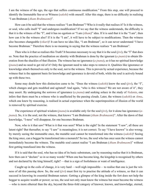I am the witness of the ego, the ego that suffers continuous modification." From this step, one will proceed to identify the Immutable See-er or Witness (*[sakshi](#page-47-16)*) with oneself. After this stage, there is no difficulty in realising "I am [Brahman](#page-42-0) (*[Aham Brahmasmi](#page-40-4)*)".

How can it be said that the witness realises "I am [Brahman"](#page-42-0)? Who is it really that realises it? Is it the witness, or soul, who calls itself "I" and undergoes modification? If we say that the witness understands, the difficulty is that it is the witness of the "I", and it has no egotism or "I am (*[Aham](#page-40-5)*)" idea. If it is said that it is the "I am", then how can it be the witness also? If it is the "I am", it will have to be subject to modifications. Then the witness also becomes changeable (*[vikari](#page-50-18)*)! It can have no idea like, "I am [Brahman"](#page-42-0), so it can never understand "I have become [Brahman](#page-42-0)." Therefore there is no meaning in saying that the witness realises "I am [Brahman](#page-42-0)".

Then who is it that so realises this Truth? It becomes necessary to say that it is the soul (*[jivi](#page-43-6)*), the "I" that does so. Note that the practice of meditation on identity with [Brahman](#page-42-0) is done by the ignorant (*[a-jnanis](#page-40-18)*) to obtain liberation from the shackles of that illusion. The witness has no ignorance (*[a-jnana](#page-40-15)*), so it has no spiritual knowledge (*[jnana](#page-44-0)*) and no need to get rid of it! Only the ignorant need to take steps to remove it. Qualities like ignorance or knowledge attach themselves only to the soul, not to the witness. This is proven by actual experience, because the witness that is the apparent basis for knowledge and ignorance is devoid of both, while the soul is actively bound up with these two.

Some may doubt how this distinction came to be. "Does the witness (*[sakshi](#page-47-16)*) know the soul (*[jivi](#page-43-6)*), the "I", which changes and gets modified and agitated? And again, "who is this witness? We are not aware of it", they may assert. By undergoing the sorrows of ignorance (*[a-jnana](#page-40-15)*) and seeking solace in the study of *[Vedanta](#page-50-11)*, one infers that there must be a witness who is unaffected by the passing clouds. Later, the witness (*[sakshi](#page-47-16)*) or *[Atma](#page-41-1)*, which one knew by reasoning, is realised in actual experience when the superimposition of illusion of the world is removed by spiritual exercise.

The experience of spiritual wisdom (*[jnana](#page-44-0)*) is available only for the soul (*[jivi](#page-43-6)*), for it alone has ignorance (*[a](#page-40-15)[jnana](#page-40-15)*). So, it is the soul, not the witness, that knows "I am [Brahman](#page-42-0) (*[Aham Brahmasmi](#page-40-4)*)". After the dawn of that knowledge, "I-ness" will disappear, for one becomes [Brahman](#page-42-0).

Now, who is it that saw? What is it that was seen? What is the sight? In the statement "I saw", all these are latent right? But thereafter, to say "I saw" is meaningless; it is not correct. To say "I have known" is also wrong; by merely seeing the immutable once, the mutable soul cannot be transformed into the witness (*[sakshi](#page-47-16)*)! Seeing the king once, can a beggar be transformed into a monarch? So too, the soul who has once seen the witness cannot immediately become the witness. The mutable soul cannot realise "I am [Brahman](#page-42-0) (*[Aham Brahmasmi](#page-40-4)*)" without first getting transfused into the witness.

If it is said that the soul, who has no idea of its basic substratum, can by reasoning realise that it is [Brahman](#page-42-0), how then can it "declare" so in so many words? When one has become king, the kingship is recognised by others and not declared by the king himself, right? —that is a sign of foolishness or want of intelligence.

Caught up in the coils of change, it is very hard —well nigh impossible— to realise that one is just the witness of all this passing show. So, the soul (*[jivi](#page-43-6)*) must first try to practise the attitude of a witness, so that it can succeed in knowing its essential [Brahman](#page-42-0) nature. Getting a glimpse of the king inside the fort does not help the beggar to acquire wealth or power; so too, the soul not only must know the witness but must become the witness —who is more ethereal than the sky, beyond the three-fold category of knower, known, and knowledge, eternal,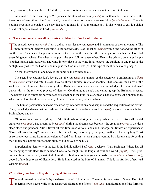<span id="page-36-0"></span>pure, conscious, free, and blissful. Till then, the soul continues as soul and cannot become [Brahman.](#page-42-0)

As a matter of fact, as long as "I" persists, the state of witness (*[sakshi](#page-47-16)*) is unattainable. The witness is the inner core of everything, the "immanent", the embodiment of being-awareness-bliss (*[satchidananda](#page-48-4)*). There is nothing beyond it or outside it. To say that such fullness is "I" is meaningless. It is also wrong to call it a vision or a direct experience of the Lord (*sakshathkara*).

#### **41. The sacred revelations allow a restricted identity of soul and Brahman**

The sacred revelations (*[sruthis](#page-48-6)*) also did not consider the soul ( $jiva$ ) and [Brahman](#page-42-0) as of the same nature. The more important identity, according to the sacred texts, is of the ether ( $akasa$ ) within one pot and the ether i another pot. The ether in the pot is the same as the ether in the pan; the ether in the pan is the ether that has filled everything everywhere. The ether in the pot is the ever-full immanent ether. That is the primary general principle (mukhyasamanaadhi-karanya). The wind in one place is the wind in all places; the sunlight in one place is the sunlight everywhere; the God in one image is the God in all images. This type of identity has to be grasped.

So too, the witness in one body is the same as the witness in all.

The sacred revelations don't declare that the soul (*[jivi](#page-43-6)*) is [Brahman,](#page-42-0) as the statement "I am [Brahman](#page-42-0) (*[Aham](#page-40-4)  [Brahmasmi](#page-40-4)*)" would indicate. Instead, they do allow a limited, restricted identity. That is to say, the I-ness of the soul has to be eliminated by reasoning; then, [Brahman](#page-42-0) remains as balance, and knowledge of "I am [Brahman"](#page-42-0) dawns; this is the restricted process of identity. Continuing as a soul, one cannot grasp the [Brahman](#page-42-0) essence. The beggar has to forget his body to recognise that he is the king; so also, people have to bypass the human body, which is the base for their I-personality, to realise their nature, which is divine.

The human personality has to be discarded by inner devotion and discipline and the acquisition of the divine. Then, knowledge dawns that one is divine. Limitations of the individualised Self (*[jivi](#page-43-6)*) has to be overcome before Brahmahood dawns.

Of course, one can get a glimpse of the Brahmahood during deep sleep, when one is free from all mental agitations (*[vikalpas](#page-50-19)*). The dream-body (*[taijasa](#page-49-18)*) during the dream stage becomes the creation (*[viswa](#page-51-7)*) in the deep sleep stage and ponders, "Did I travel all this time over various lands and undergo multitudes of experiences? Wasn't all this a fantasy? I was never involved in all this; I was happily sleeping, unaffected by everything." Just as someone recovering from intoxication or freed from illness, or as a beggar coming by a fortune and forgetting their indigence, people realise their divinity and enjoy divine bliss.

Experiencing identity with the Lord, the individualized Self (*[jivi](#page-43-6)*) declares, "I am [Brahman](#page-42-0). Where has all the changing world fled? How deluded I was to be caught in the tangle of soul and world (*[jagath](#page-43-7)*)! Past, present, and future don't really exist at all. I am the embodiment of being-awareness-bliss (*[satchidananda](#page-48-4)*-*[swarupa](#page-49-14)*), devoid of the three types of distinction." He is immersed in the bliss of [Brahman.](#page-42-0) This is the fruition of spiritual wisdom (*[jnana](#page-44-0)*).

#### **42. Realise your true Self by destroying all limitations**

The soul can realise itself only by the destruction of all limitations. The mind is the greatest of these. The mind<br>undergoes two stages while being destroyed: destruction of form (*rupa-laya*) and destruction of the forml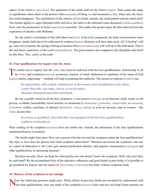<span id="page-37-0"></span>aspect of the mind (*[a-rupa-laya](#page-41-18)*). The agitations of the mind stuff are the forms (*[rupas](#page-47-18)*). Then comes the stage of equilibrium where there is the positive bliss (*[ananda](#page-40-8)*) of being *[sat](#page-48-11)* and awareness (*[chit](#page-42-11)*), where also the formless mind disappears. The annihilation of the mind is of two kinds, namely, the mind pattern and the mind itself. The former applies to sages liberated while still alive; the latter to the liberated when deceased (*[videha-mukthas](#page-50-20)*). Now, only the destruction of form (*[rupa-laya](#page-47-17)*) is possible. This makes the person enjoy the bliss derived from the experience of identity with [Brahman.](#page-42-0)

So, the mind is a limitation of the individual soul (*[jivi](#page-43-6)*). It has to be conquered; the body-consciousness must disappear; steady faith has to be cultivated in wisdom (*[jnana](#page-44-0)*). Delusion will then fade away. All "I-feeling" will go, and every moment, the spring of being-awareness-bliss (*[satchidananda](#page-48-4)*) will well up in the individual. That is the real direct experience of the Lord (*sakshathkara*). The great masters also emphasise this discipline and dwell on this bliss. This, verily, is the truth.

#### **43. Four qualifications for inquiry into the Atma**

To entitle one to inquiry into the  $Atma$ , one must be endowed with the four qualifications. Scholarship in all the Vedas and scriptures (sastra), asceticism, mastery of ritual, dedication to repetition of the name of God (*[japa](#page-43-15)*), charity, pilgrimage —nothing will help in granting that authority. The sacred revelations (*[sruthis](#page-48-6)*) say,

So equanimity, self-control, withdrawal of the senses, and steadfastness only these confer that title, not caste, colour, or social status. *Shaantho dhaanthah uparathih thithikshah …*

Be one a pundit versed in all the holy scriptures, a wise person (*[vidwan](#page-50-21)*), or an illiterate, child, youth, or old person, a celibate, householder, forest dweller, or renunciate (*[brahmachari](#page-42-22)*, *[grihastha](#page-43-22)*, *[vanaprastha](#page-50-22)*, or *[sanyasin](#page-48-18)*), a *[brahmin](#page-42-16)*, soldier, merchant, or labourer (*[kshatriya](#page-44-11)*, *[vaisya](#page-50-23)*, *[sudra](#page-48-15)*), or even an outcaste, man or woman —the *[Vedas](#page-50-9)* declare that

#### Everyone is qualified, provided they are equipped with the four qualifications (*sadhana-chathushtaya*).

Mere reading of the scriptures (*[sastras](#page-48-0)*) does not entitle one. Instead, the attainment of the four qualifications mentioned therein is essential.

The doubt might then arise: How can a person who has not read the scriptures attain the four qualifications? My reply is, how does the person who reads scriptures attain them? "Because one knows the scriptures, one acts in a spirit of dedication to the Lord, gets mental purification thereby, and acquires renunciation (*[vairagya](#page-49-6)*) and other qualifications in increasing measure."

But then one asks: How can these be cultivated by one who doesn't know the scriptures. Well, why can't they be cultivated? By the accumulated fruit of the educative influences and good deeds in past births, it is possible to get qualified for inquiry into the nature of *[Atma](#page-41-1)* (*[Atma-vichara](#page-41-2)*) in this birth, without scriptural study.

#### **44. Mastery of the scriptures is not enough**

Now the following question might arise. While efforts in previous births are rewarded by endowment with the four qualifications, how can study of the scriptures (*sastras*) here and now not help! Some persons are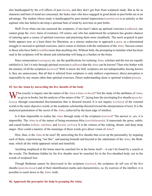<span id="page-38-0"></span>also handicapped by the evil effects of past *[karma](#page-44-12)*, and they don't get fruit from scriptural study. But as far as character and bent of mind are concerned, the lucky ones who have engaged in good deeds in past births are at an advantage. The student whose study is handicapped by past mental impressions (*[samskaras](#page-47-19)*) is as unlucky as the aspirant who has failed to develop a spiritual bent of mind by activities in past births.

Well! Even when one has mastered the scriptures, if one hasn't taken up spiritual exercises (*[sadhana](#page-47-20)*), one cannot grasp the *[Atmic](#page-41-0)* basis of existence. Of course, one who has understood the scriptures has greater chances of entering upon a course of spiritual exercises and practising them more steadfastly. The merit acquired in past births appears now as a keen thirst for liberation, as a sincere endeavour to approach a *[guru](#page-43-1)*, as a determined struggle to succeed in spiritual exercises, and it comes to fruition with the realisation of the *[Atma](#page-41-1)*. Success comes to those who have faith (*[sraddha](#page-48-5)*) more than anything else. Without faith, the prompting to translate what has been read in the scriptures will be absent and scholarship will hang as a burden on the brain.

Since renunciation (*[vairagya](#page-49-6)*), etc. are the qualifications for realising *[Atma](#page-41-1)*, scholars and the rest are equally entitled to it. Isn't it only through spiritual exercises (*[sadhana](#page-47-20)*) that the *[Atma](#page-41-1)* can be known? Then why bother with the mastery of all the scriptures (*[sastras](#page-48-0)*)? Well, to know the Self, scriptures are not indispensable; having known it, they are unnecessary. But all that is inferred from scriptures is only indirect experiences; direct perception is impossible by any means other than spiritual exercises. Direct understanding alone is spiritual wisdom (*[jnana](#page-44-0)*).

#### **45. See the Atma by unraveling the five sheaths of the body**

What exactly is inquiry into the nature of the *[Atma](#page-41-1)* (*[Atma-vichara](#page-41-2)*)? Not the study of the attributes of *[Atma](#page-41-1)*, as given in books, but the analysis of the nature of the "I", laying bare the enveloping five sheaths (*[pancha](#page-46-2)[kosas](#page-46-2)*), through concentrated discrimination that is directed inward. It is not inquiry (*[vichara](#page-50-5)*) of the external world or the outer objective world, or the academic scholarship directed toward the interpretation of texts. It is the analytical penetration of the secret of the *[Atma](#page-41-1)*, achieved by the keen edge of intellect.

Is it then impossible to realise the *[Atma](#page-41-1)* through study of the scriptures (*[sastras](#page-48-0)*)? The answer is: yes, it is impossible. The *[Atma](#page-41-1)* is of the nature of being-awareness-bliss (*[satchidananda](#page-48-4)*). It transcends the gross, subtle, and causal bodies (*[sthula](#page-48-19)*, *[sukshma](#page-49-19)*, and *[karana](#page-44-16) [sariras](#page-48-20)*); It is the witness of the waking, dream, and deep sleep stages. How could a mastery of the meanings of these words give direct vision of *[Atma](#page-41-1)*?

How, then, is the *[Atma](#page-41-1)* to be seen? By unraveling the five sheaths that cover up the personality, by negating each of them, experiencing "not this", and passing beneath and beyond to the substratum of the *[Atma](#page-41-1)*, the [Brah](#page-42-0)[man,](#page-42-0) which all the while appeared varied and manifold.

Anything misplaced in the home must be searched for in the home itself —it can't be found by a search in the woods. The [Brahman](#page-42-0) hidden by the five sheaths must be searched for in the five-sheathed body, not in the woods of scriptural lore.

Though [Brahman](#page-42-0) cannot be discovered in the scriptures (*[sastras](#page-48-0)*), the scriptures do tell you of the five sheaths (*[pancha-kosas](#page-46-2)*) and of their identification marks and characteristics, so, by exercise of the intellect, it is possible to reach down to the *[Atmic](#page-41-0)* truth.

#### **46. Approach the preceptor for help in grasping the Atma**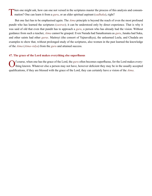<span id="page-39-0"></span>Then one might ask, how can one not versed in the scriptures master the process of this analysis and consummation? One can learn it from a *guru*, or an elder spiritual aspirant (*sadhaka*), right?

But one fact has to be emphasised again. The *[Atma](#page-41-1)* principle is beyond the reach of even the most profound pundit who has learned the scriptures (*[sastras](#page-48-0)*); it can be understood only by direct experience. That is why it was said of old that even that pundit has to approach a *[guru](#page-43-1)*, a person who has already had the vision. Without guidance from such a teacher, *[Atma](#page-41-1)* cannot be grasped. Even [Narada](#page-45-16) had [Sanatkumara](#page-47-21) as *[guru](#page-43-1)*, [Janaka](#page-43-23) had [Suka,](#page-48-21) and other saints had other *[gurus](#page-43-1)*. [Maitreyi](#page-44-10) (the consort of [Yajnavalkya\)](#page-51-5), the unlearned [Leela](#page-44-17), and [Chudala](#page-42-23) are examples to show that, without prolonged study of the scriptures, also women in the past learned the knowledge of the *[Atma](#page-41-1)* (*[Atma-vidya](#page-41-19)*) from the *[guru](#page-43-1)* and attained success.

#### **47. The grace of the Lord makes everything else superfluous**

Of course, when one has the grace of the Lord, the *[guru](#page-43-1)* often becomes superfluous, for the Lord makes every-<br>thing known. Whatever else a person may not have, however deficient they may be in the usually accepted qualifications, if they are blessed with the grace of the Lord, they can certainly have a vision of the *[Atma](#page-41-1)*.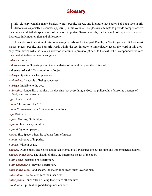## **Glossary**

<span id="page-40-0"></span>This glossary contains many Sanskrit words, people, places, and literature that Sathya Sai Baba uses in His discourses, especially discourses appearing in this volume. The glossary attempts to provide comprehensive meanings and detailed explanations of the more important Sanskrit words, for the benefit of lay readers who are interested in Hindu religion and philosophy.

In an electronic version of this volume (e.g. an e-book for the Ipad, Kindle, or Nook), you can click on most names, places, people, and Sanskrit words within the text in order to immediately access the word in this glossary. Your device will also have an arrow or other link to press to get back to the text. When compound words are hupehnated, individual words are given.

#### <span id="page-40-7"></span>*aakaara*. Form.

<span id="page-40-1"></span>*abhasa-avarana*. Superimposing the boundaries of individuality on the Universal.

<span id="page-40-6"></span>*abhava-pratheethi*. Non-cognition of objects.

*acharya*. Spiritual teacher, preceptor..

<span id="page-40-13"></span>*a-chinthya*. Incapable of being conceived.

<span id="page-40-11"></span>*a-drisya*. Invisible to the eye.

<span id="page-40-16"></span>*a-dwaitha*. Nondualism, monism, the doctrine that everything is God, the philosophy of absolute oneness of God, soul, and universe.

<span id="page-40-23"></span>*agni*. Fire element.

<span id="page-40-5"></span>*aham*. The knower, the "I".

<span id="page-40-4"></span>*aham Brahmasmi*. I am *[Brahman](#page-42-0)*, or I am divine.

<span id="page-40-2"></span>*a-ja*. Birthless.

*a-jara*. Decline, diminution.

<span id="page-40-15"></span>*a-jnana*. Ignorance, stupidity.

<span id="page-40-18"></span>*a-jnani*. Ignorant person.

<span id="page-40-22"></span>*akasa*. Sky, Space, ether, the subtlest form of matter.

<span id="page-40-12"></span>*a-mala*. Absence of impurity.

<span id="page-40-3"></span>*a-mara*. Without death.

<span id="page-40-8"></span>*ananda*. Divine bliss. The Self is unalloyed, eternal bliss. Pleasures are but its faint and impermanent shadows.

<span id="page-40-21"></span>*ananda-maya kosa*. The sheath of bliss, the innermost sheath of the body.

<span id="page-40-10"></span>*a-nir-desya*. Incapable of description.

<span id="page-40-19"></span>*a-nir-vachaneeya*. Beyond description.

<span id="page-40-20"></span>*anna-maya kosa*. Food sheath, the material or gross outer layer of man.

<span id="page-40-9"></span>*antar-atma*. The *[Atma](#page-41-1)* within; the inner Self.

<span id="page-40-14"></span>*antar-yamin*. Inner ruler or Being that guides all creatures.

<span id="page-40-17"></span>*anushtana*. Spiritual or good disciplined conduct.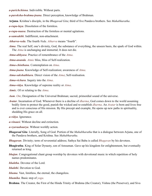<span id="page-41-14"></span>*a-parichchinna*. Indivisible. Without parts.

<span id="page-41-4"></span>*a-paroksha-brahma-jnana*. Direct perception, knowledge of Brahman.

<span id="page-41-21"></span>**Arjuna**. [Krishna](#page-44-8)'s disciple, in the *[Bhagavad Gita](#page-41-20)*; third of five [Pandava](#page-46-25) brothers. See *[Mahabharatha](#page-44-18)*.

<span id="page-41-18"></span>*a-rupa-laya*. Dissolution of the formless.

<span id="page-41-11"></span>*a-rupa-naasa*. Destruction of the formless or mental agitations.

<span id="page-41-10"></span>*a-samsakthi*. Indifferent, non-attachment.

<span id="page-41-25"></span>*Atharva-veda*. The fourth *[Veda](#page-50-9)*. *Atharva* means "fourth".

<span id="page-41-1"></span>*Atma*. The real Self, one's divinity, God, the substance of everything, the unseen basis, the spark of God within. The *Atma* is unchanging and immortal; It does not die.

<span id="page-41-17"></span>*Atma-abhyasa*. Practice of remembrance of the *[Atma](#page-41-1)*.

<span id="page-41-5"></span>*Atma-ananda*. *[Atmic](#page-41-0)* bliss, bliss of Self-realization.

<span id="page-41-7"></span>*Atma-chinthana*. Contemplation on *[Atma](#page-41-1)*.

<span id="page-41-3"></span>*Atma-jnana*. Knowledge of Self-realization; awareness of *Atma*.

<span id="page-41-8"></span>*Atma-sakshathkara*. Direct vision of the *[Atma](#page-41-1)*; Self-realisation.

<span id="page-41-2"></span>*Atma-vichara*. Inquiry into the *[Atma](#page-41-1)*.

<span id="page-41-19"></span>*Atma-vidya*. Knowledge of supreme reality or *[Atma](#page-41-1)*.

<span id="page-41-0"></span>*Atmic*. Of or relating to the *[Atma](#page-41-1)*.

*Aum*. *[Om](#page-45-4)*; Designation of the Universal Brahman; sacred, primordial sound of the universe.

<span id="page-41-23"></span>*Avatar*. Incarnation of God. Whenever there is a decline of *[dharma](#page-43-18)*, God comes down to the world assuming bodily form to protect the good, punish the wicked and re-establish *[dharma](#page-43-18)*. An *Avatar* is born and lives free and is ever conscious of His mission. By His precept and example, He opens up new paths in spirituality, shedding His grace on all.

<span id="page-41-13"></span>*a-vidya*. Ignorance.

<span id="page-41-9"></span>*a-vinaasi*. Without decline and extinction.

<span id="page-41-15"></span>*a-vyavaahaarya*. Without worldly action.

<span id="page-41-20"></span>*Bhagavad Gita*. Literally, Song of God. Portion of the *[Mahabharatha](#page-44-18)* that is a dialogue between [Arjuna](#page-41-21), one of the [Pandava](#page-46-25) brothers, and [Krishna.](#page-44-8) See *[Mahabharatha](#page-44-18)*.

*Bhagavan*. Divinity; term of reverential address; Sathya Sai Baba is called *Bhagavan* by his devotees.

<span id="page-41-22"></span>**Bhagiratha**. King of Solar Dynasty, son of Amsuman. Gave up his kingdom for enlightenment, but eventually returned as king.

<span id="page-41-6"></span>*bhajan*. Congregational chant group worship by devotees with devotional music in which repetition of holy names predominates.

*bhaktha*. Devotee of the Lord.

<span id="page-41-16"></span>*bhakthi*. Devotion to God.

*bhuma*. Vast, limitless, the eternal, the changeless.

<span id="page-41-12"></span>*bhumika*. Basic step of *[yoga](#page-51-1)*.

<span id="page-41-24"></span>**Brahma**. The Creator, the First of the Hindu Trinity of Brahma (the Creator), Vishnu (the Preserver), and Siva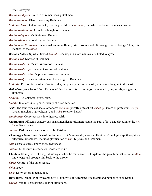(the Destroyer).

<span id="page-42-1"></span>*Brahma-abhyasa*. Practice of remembering [Brahman.](#page-42-0)

<span id="page-42-20"></span>*Brama-ananda*. Bliss of realising [Brahman.](#page-42-0)

<span id="page-42-22"></span>*brahma-chari*. Student, celibate, first stage of life of a *[brahmin](#page-42-16)*; one who dwells in God consciousness.

<span id="page-42-19"></span>*Brahma-chinthana*. Ceaseless thought of [Brahman.](#page-42-0)

*Brahma-dhyana*. Meditation on [Brahman](#page-42-0).

<span id="page-42-4"></span>*Brahma-jnana*. Knowledge of [Brahman.](#page-42-0)

<span id="page-42-0"></span>*Brahman* or *Brahmam*. Impersonal Supreme Being, primal source and ultimate goal of all beings. Thus, It is identical to the *[Atma](#page-41-1)*.

<span id="page-42-26"></span>*Brahma Sutras*. Spiritual text of *[Vedantic](#page-50-9)* teachings in short maxims, attributed to [Vyasa.](#page-51-3)

<span id="page-42-5"></span>*Brahma-vid*. Knower of [Brahman.](#page-42-0)

<span id="page-42-6"></span>*Brahma-vidvara*. Master knower of [Brahman.](#page-42-0)

<span id="page-42-7"></span>*Brahma-vidvariya*. Excellent knower of [Brahman](#page-42-0).

<span id="page-42-8"></span>*Brahma-vidvarishta*. Supreme knower of [Brahman.](#page-42-0)

<span id="page-42-15"></span>*Brahma-vidya*. Spiritual attainment, knowledge of [Brahman](#page-42-0).

<span id="page-42-16"></span>*brahmin*. First of four [caste](#page-42-24)s of social order, the priestly or teacher caste; a person belonging to this [caste.](#page-42-24)

<span id="page-42-14"></span>*Brihadaranyaka Upanishad*. The *[Upanishad](#page-49-5)* that sets forth teachings maintained by [Yajnavalkya](#page-51-5) regarding [Brahman](#page-42-0).

*brihath*. Big, enlarged, gross, high.

<span id="page-42-9"></span>*buddhi*. Intellect, intelligence, faculty of discrimination.

- <span id="page-42-24"></span>*caste*. The four castes of social order are: *brahmin* (priestly or teacher), *kshatriya* (warrior, protector), *vaisya* (trader, merchant, agriculturist), and *sudra* (worker, helper).
- <span id="page-42-12"></span>*chaithanya*. Consciousness, intelligence, spirit.
- <span id="page-42-25"></span>**Chaithanya**. Fifteenth century Vaishnava mendicant reformer; taught the path of love and devotion to the *Avatar* of Sri [Krishna](#page-44-8).
- <span id="page-42-21"></span>*chakra*. Disk; wheel; a weapon used by [Krishna](#page-44-8).
- <span id="page-42-10"></span>*Chandogya Upanishad*. One of the ten important *[Upanishads](#page-49-5)*; a great collection of theological-philosophicalallegorical utterances. Includes glorification of *[Om](#page-45-4)*, *[Gayatri](#page-43-24)*, and [Brahman.](#page-42-0)
- <span id="page-42-11"></span>*chit*. Consciousness, knowledge, awareness.
- <span id="page-42-3"></span>*chittha*. Mind stuff, memory, subconscious mind.
- <span id="page-42-23"></span>**Chudala**. Saintly wife of King Sikhidwaja. When he renounced his kingdom, she gave him instruction in *[Atmic](#page-41-0)* knowledge and brought him back to the throne.

<span id="page-42-2"></span>*dama*. Control of the outer senses.

<span id="page-42-18"></span>*deha*. Body.

<span id="page-42-17"></span>*deva*. Deity, celestial being, god.

<span id="page-42-13"></span>**Devahuthi**. Daughter of Swayambhuva Manu, wife of [Kardhama Prajapathi;](#page-46-26) and mother of sage [Kapila.](#page-44-9)

*dhana*. Wealth, possessions, superior attractions.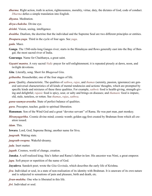<span id="page-43-18"></span>*dharma*. Right action, truth in action, righteousness, morality, virtue, duty, the dictates of God, code of conduct. *Dharma* defies a simple translation into English.

<span id="page-43-3"></span>*dhyana*. Meditation.

<span id="page-43-19"></span>*divya-chakshu*. Divine eye.

<span id="page-43-17"></span>*drishti*. Vision, seeing, intelligence.

<span id="page-43-16"></span>*dwaitha*. Dualism, the doctrine that the individual and the Supreme Soul are two different principles or entities.

<span id="page-43-26"></span>*Dwapara-yuga*. Third in the cycle of four ages. See *[yuga](#page-51-8)*.

<span id="page-43-21"></span>*gada*. Mace.

<span id="page-43-25"></span>**Ganga**. The 1560-mile-long Ganges river; starts in the Himalayas and flows generally east into the Bay of Bengal; the most sacred river of India.

<span id="page-43-14"></span>**Gauranga**. Name for [Chaithanya](#page-42-25), a great saint.

<span id="page-43-24"></span>*Gayatri mantra*. A very sacred *[Vedic](#page-50-24)* prayer for self-enlightenment; it is repeated piously at dawn, noon, and twilight devotions.

<span id="page-43-0"></span>*Gita*. Literally, song. Short for *[Bhagavad Gita](#page-41-20)*.

<span id="page-43-22"></span>*grihastha*. Householder, one of the four stages of life.

<span id="page-43-2"></span>*guna*. Quality, characteristic. The qualities of *[sathwa](#page-48-8)*, *[rajas](#page-46-7)*, and *[thamas](#page-49-10)* (serenity, passion, ignorance) are general universal characteristics of all kinds of mental tendencies and actions/ thoughts, which are prompted by specific kinds and mixtures of these three qualities. For example, *[sathwic](#page-48-7)* food is health-giving, strength-giving and delightful; *[rajasic](#page-46-8)* food is spicy, sour, or salty and brings on diseases; and *[thamasic](#page-49-11)* food is impure, old, stale, tasteless, or rotten. See *[thamas](#page-49-10)*, *[rajas](#page-46-7)*, *[sathwa](#page-48-8)*.

<span id="page-43-8"></span>*guna-saamya-avastha*. State of perfect balance of qualities.

<span id="page-43-1"></span>*guru*. Preceptor, teacher, guide to spiritual liberation.

<span id="page-43-27"></span>**Hanuman**. Son of the Wind God and a great "devotee servant'' of [Rama](#page-47-8). He was part man, part monkey.

<span id="page-43-12"></span>*Hiranyagarbha*. Cosmic divine mind; cosmic womb; golden egg first created by [Brahman](#page-42-0) from which all creation issued.

<span id="page-43-20"></span>*idam*. This.

<span id="page-43-9"></span>**Iswara**. Lord, God, Supreme Being; another name for [Siva](#page-48-14).

*jaagrath*. Waking state.

<span id="page-43-10"></span>*jaagrath-swapna*. Wakeful-dreamy.

<span id="page-43-11"></span>*jada*. Inert matter.

<span id="page-43-7"></span>*jagath*. Cosmos, world of change, creation.

<span id="page-43-23"></span>**Janaka**. A self-realized king; [Sita](#page-48-22)'s father and [Rama'](#page-47-8)s father-in-law. His ancestor was Nimi, a great emperor.

<span id="page-43-15"></span>*japa*. Soft prayer or repetition of the name of God.

<span id="page-43-13"></span>**Jayadeva**. Sanskrit poet; wrote the *Gita Govinda*, which describes the early life of [Krishna.](#page-44-8)

<span id="page-43-5"></span>*jiva*. Individual or soul, in a state of non-realisation of its identity with [Brahman](#page-42-0). It is unaware of its own nature and is subjected to sensations of pain and pleasure, birth and death, etc.

<span id="page-43-4"></span>*jivan-muktha*. One who is liberated in this life.

<span id="page-43-6"></span>*jivi*. Individual or soul.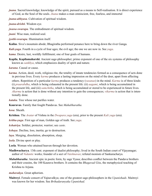<span id="page-44-0"></span>*jnana*. Sacred knowledge; knowledge of the spirit, pursued as a means to Self-realisation. It is direct experience of God, as the Soul of the souls. *Jnana* makes a man omniscient, free, fearless, and immortal

<span id="page-44-5"></span>*jnana-abhyasa*. Cultivation of spiritual wisdom.

<span id="page-44-13"></span>*jnana-drishti*. Wisdom eye.

*jnana-swarupa*. The embodiment of spiritual wisdom.

<span id="page-44-4"></span>*jnani*. Wise man, realized soul.

<span id="page-44-7"></span>*jyothi-swarupa*. Illumination itself.

<span id="page-44-3"></span>**Kailas**. [Siva](#page-48-14)'s mountain abode; [Bhagiratha](#page-41-22) performed penance here to bring down the river [Ganga.](#page-43-25)

<span id="page-44-19"></span>*Kali-yuga*. Fourth in a cycle of four ages; the evil age; the one we are now in. See *[yuga](#page-51-8)*.

<span id="page-44-6"></span>*kama*. Desire, lust, worldly fulfillment; one of four goals of humans.

<span id="page-44-9"></span>**Kapila**, **Kapilamaharshi**. Ancient sage-philosopher; prime exponent of one of the six systems of philosophy known as *[sankhya](#page-47-9)*, which emphasizes duality of spirit and nature.

<span id="page-44-16"></span>*karana*. Causal or cause.

<span id="page-44-12"></span>*karma*. Action, deed, work, religious rite, the totality of innate tendencies formed as a consequence of acts done in previous lives. Every *karma* produces a lasting impression on the mind of the doer, apart from affecting others. Repetition of a particular *karma* produces a tendency (*vasanas*) in the mind. *Karma* is of three kinds: (i) *praarabdha*, which is being exhausted in the present life: (ii) *aagami*, which is being accumulated in the present life, and (iii) *samchitha*, which is being accumulated or stored to be experienced in future lives. *Akarma* is action that is done without any intention to gain the consequences; *vikarma* is action that is intentionally done.

*kataka*. Tree whose nut purifies water.

<span id="page-44-20"></span>**Kauravas**. Family that fought [Pandavas.](#page-46-25) See *[Mahabharatha](#page-44-18)*.

<span id="page-44-15"></span>*kosa*. Sheath.

<span id="page-44-8"></span>**Krishna**. The *[Avatar](#page-41-23)* of [Vishnu](#page-50-17) in the *[Dwapara yuga](#page-43-26)* (era), prior to the present *[Kali yuga](#page-44-19)* (era).

<span id="page-44-22"></span>*kritha-yuga*. First age of man, Golden age of truth. See *[yuga](#page-51-8)*.

<span id="page-44-11"></span>*kshatriya*. Soldier, protector, warrior; see *[caste](#page-42-24)*.

<span id="page-44-2"></span>*kshaya*. Decline, loss, inertia; go to destruction.

<span id="page-44-1"></span>*laya*. Merging, dissolution, absorption, sleep.

<span id="page-44-14"></span>*leela*. Divine sport or play.

<span id="page-44-17"></span>**Leela**. Woman who attained heaven through her devotion.

- <span id="page-44-21"></span>**Madhwacharya**. 13th cent. exponent of dualist philosophy; lived in the South Indian court of Vijayanagar; author of *[Vedantic](#page-50-12)* works; founder of a sect of *Vaishnavas*; refuted monism of [Sankaracharya.](#page-47-13)
- <span id="page-44-18"></span>*Mahabharatha*. Ancient epic in poetic form, by sage [Vyasa;](#page-51-3) describes conflict between the [Pandava](#page-46-25) brothers and their cousins, the 100 [Kaurava](#page-44-20) brothers. It contains the *[Bhagavad Gita](#page-41-20)*, the metaphysical teaching of [Krishna](#page-44-8) to [Arjuna](#page-41-21).

*mahavakya*. Great aphorism.

<span id="page-44-10"></span>**Maitreyi**. Female consort of [Yajnavalkya](#page-51-5); one of the greatest sage-philosophers in the *[Upanishads](#page-49-5)*. Maitreyi was known for her wisdom. See *[Brihadaranyaka Upanishad](#page-42-14)*.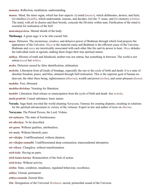<span id="page-45-21"></span>*manana*. Reflection, meditation, understanding.

- <span id="page-45-5"></span>*manas*. Mind, the inner organ, which has four aspects: (i) mind (*manas*), which deliberates, desires, and feels; (ii) intellect (*[buddhi](#page-42-9)*), which understands, reasons, and decides; (iii) the 'I' sense, and (iv) memory (*[chitha](#page-42-3)*). The mind, with all its desires and their broods, conceals the Divinity within man. Purification of the mind is essential for realisation of the Self.
- <span id="page-45-20"></span>*manomaya-kosa*. Mental sheath of the body.
- <span id="page-45-17"></span>**Mathanga**. A great sage; it is he who cursed [Vali.](#page-50-25)
- <span id="page-45-6"></span>*maya*. Delusion. The mysterious, creative, and delusive power of [Brahman](#page-42-0) through which God projects the appearance of the Universe. *Maya* is the material cause and [Brahman](#page-42-0) is the efficient cause of the Universe. [Brahman](#page-42-0) and *maya* are inextricably associated with each other like fire and its power to heat. *Maya* deludes the individual souls in egoism, making them forget their true spiritual nature.
- <span id="page-45-2"></span>*mithya*. Mixture of truth and falsehood; neither true nor untrue, but something in between. The world is not untrue (*asat*) but *mithya*.
- <span id="page-45-9"></span>*moha*. Delusion caused by false identification, infatuation.
- <span id="page-45-0"></span>*moksha*. Liberation from all kinds of bondage, especially the one to the cycle of birth and death. It is a state of absolute freedom, peace, and bliss, attained through Self-realisation. This is the supreme goal of human endeavour, the other three being, righteousness (*[dharma](#page-43-18)*), wealth and power (*artha*), and sense-pleasure (*[kama](#page-44-6)*).

*muktha*. Free, liberated.

<span id="page-45-10"></span>*muktha-thrishna*. Yearning for liberation.

<span id="page-45-8"></span>*mukthi*. Liberation; final release or emancipation from the cycle of birth and death. See *[moksha](#page-45-0)*.

<span id="page-45-1"></span>*mula-prakriti*. Causal substance; basic nature.

<span id="page-45-16"></span>**Narada**. Sage-bard; traveled the world chanting *[Narayana](#page-45-23)*. Famous for creating disputes, resulting in solutions for the spiritual advancement or victory of the virtuous. Expert in law and author of texts on *[dharma](#page-43-18)*.

<span id="page-45-23"></span>**Narayana**. The Primal Person, the Lord, [Vishnu](#page-50-17).

<span id="page-45-7"></span>*nir-aakaara*. The state of formlessness.

*nir-dheshya*. To be described.

<span id="page-45-15"></span>*nir-guna*. Without qualities, attributeless.

<span id="page-45-13"></span>*nir-mala*. Without blemish, pure.

*nir-vikalpa*. Undifferentiated, without ideation.

<span id="page-45-3"></span>*nir-vikalpa-samadhi*. Undifferentiated deep communion, transcendental absorption.

<span id="page-45-22"></span>*nir-vikara*. Changless, without transformation.

<span id="page-45-12"></span>*nish-kala*. Having no parts.

*nish-kama-karma*. Renunciation of the fruit of action.

<span id="page-45-14"></span>*nish-kriya*. Without activity.

<span id="page-45-18"></span>*nishta*. State, condition, steadiness, regulated behaviour, excellence.

<span id="page-45-11"></span>*nithya*. Eternal, permanent

<span id="page-45-19"></span>*nithya-ananda*. Eternal bliss.

<span id="page-45-4"></span>*Om.* Designation of the Universal *[Brahman](#page-42-0)*; sacred, primordial sound of the Universe.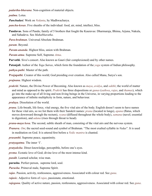<span id="page-46-6"></span>*padartha-bhavana*. Non-cognition of material objects.

<span id="page-46-22"></span>*padma*. Lotus.

<span id="page-46-19"></span>*Panchadasi*. Work on *[Vedanta](#page-50-11)*, by [Madhwacharya.](#page-44-21)

<span id="page-46-2"></span>*pancha-kosas*. Five sheaths of the individual: food, air, mind, intellect, bliss.

<span id="page-46-25"></span>**Pandavas**. Sons of Pandu; family of 5 brothers that fought the Kauravas: Dharmaraja, Bhima, Arjuna, Nakula, and Sahadeva. See *Mahabharatha*.

<span id="page-46-9"></span>*Para-brahman*. Universal Absolute [Brahman.](#page-42-0)

<span id="page-46-24"></span>*param*. Beyond.

<span id="page-46-20"></span>*Param-ananda*. Highest bliss, union with [Brahman.](#page-42-0)

<span id="page-46-3"></span>*Param-atma*. Supreme Self, Supreme *[Atma](#page-41-1)*.

<span id="page-46-17"></span>**Parvathi**. [Siva'](#page-48-14)s consort. Also known as Gauri (fair complexioned) and by other names.

<span id="page-46-10"></span>**Patanjali**. Author of the *Yoga Sutras*, which form the foundation of the *[yoga](#page-51-1)* system of Indian philosophy.

<span id="page-46-5"></span>*pathya-pathi*. Master of the path.

<span id="page-46-26"></span>**Prajapathi**. Creator of this world; God presiding over creation. Also called Manu, Surya's son.

<span id="page-46-14"></span>*prajnana*. Highest wisdom.

<span id="page-46-15"></span>*prakriti*. Nature, the Divine Power of Becoming. Also known as *[maya](#page-45-6)*, *avidya*, and *[sakthi](#page-47-22)*; the world of matter and mind as opposed to the spirit. *Prakriti* has three dispositions or *[gunas](#page-43-2)* (*[sathwa](#page-48-8)*, *[rajas](#page-46-7)*, and *[thamas](#page-49-10)*), which go into the make-up of all living and non-living beings in the Universe, in varying proportions leading to the appearance of infinite multiplicity in form, nature, and behaviour.

<span id="page-46-0"></span>*pralaya*. Dissolution of the world.

<span id="page-46-11"></span>*prana*. Life-breath, life force, vital energy, the five vital airs of the body. English doesn't seem to have names for these vital airs, so we list them with their Sanskrit names: *prana* (located in lungs), *apana* (flatus, which moves downward through the rectum), *vyana* (diffused throughout the whole body), *samana* (navel; essential to digestion), and *udana* (rises through throat to head).

<span id="page-46-21"></span>*prana-maya kosa*. The second, subtle sheath of man, consisting of the vital airs and the nervous system.

<span id="page-46-4"></span>*Pranava*. *[Om](#page-45-4)*; the sacred seed-sound and symbol of [Brahman.](#page-42-0) "The most exalted syllable in *[Vedas](#page-50-9)*". It is used in meditation on God. It is uttered first before a *[Vedic](#page-50-24) mantra* is chanted.

<span id="page-46-13"></span>*prasanthi*. Supreme peace, equanimity.

<span id="page-46-1"></span>*pratyagatma*. The inner 'I'.

<span id="page-46-23"></span>*pratyaksha*. Direct knowledge, perceptible, before one's eyes.

<span id="page-46-16"></span>*prema*. Ecstatic love of God; divine love of the most intense kind.

*pundit*. Learned scholar, wise man.

**purusha**. Perfect person, supreme lord, soul.

<span id="page-46-12"></span>*Purusha*. Primeval male, Supreme Spirit.

<span id="page-46-7"></span>*rajas*. Passion, activity, restlessness, aggressiveness. Associated with colour red. See *[guna](#page-43-2)*.

<span id="page-46-8"></span>*rajasic*. Adjective form of *[rajas](#page-46-7)*, passionate, emotional.

<span id="page-46-18"></span>*rajoguna*. Quality of active nature, passion, restlessness, aggressiveness. Associated with colour red. See *[guna](#page-43-2)*.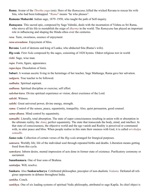<span id="page-47-8"></span>**Rama**. Avatar of the *[Thretha yuga](#page-49-20)* (era). Hero of the *[Ramayana](#page-47-11)*; killed the wicked [Ravana](#page-47-23) to rescue his wife [Sita,](#page-48-22) who had been kidnapped. "*Rama*" means "he who pleases".

<span id="page-47-7"></span>**Ramana Maharshi**. Indian sage, 1879–1950, who taught the path of Self-inquiry.

<span id="page-47-11"></span>*Ramayana*. This sacred epic, composed by Sage [Valmiki,](#page-50-13) deals with the incarnation of [Vishnu](#page-50-17) as Sri [Rama](#page-47-8), who strove all his life to reestablish the reign of *[dharma](#page-43-18)* in the world. The *Ramayana* has played an important role in influencing and shaping the Hindu ethos over the centuries.

<span id="page-47-3"></span>*rasa*. Taste, sweetness, essence of enjoyment.

<span id="page-47-0"></span>*rasa-aswadana*. Enjoyment of bliss.

<span id="page-47-23"></span>**Ravana**. Lord of demons and king of Lanka, who abducted [Sita](#page-48-22) [\(Rama](#page-47-8)'s wife).

<span id="page-47-24"></span>*Rig-veda*. First *[Veda](#page-50-9)* composed by the sages, consisting of 1028 hymns. Oldest religious text in world

<span id="page-47-10"></span>*rishi*. Sage, wise man.

<span id="page-47-18"></span>*rupa*. Form, figure, appearance.

<span id="page-47-17"></span>*rupa-laya*. Dissolution of form.

<span id="page-47-12"></span>**Sabari**. A woman ascetic living in the hermitage of her teacher, Sage Mathanga; [Rama](#page-47-8) gave her salvation.

*sadguru*. True teacher to be followed.

<span id="page-47-4"></span>*sadhaka*. Spiritual aspirant.

<span id="page-47-20"></span>*sadhana*. Spiritual discipline or exercise; self effort.

*sakshat-kara*. Divine spiritual experience or vision; direct exerience of the Lord.

<span id="page-47-16"></span>*sakshi*. Witness.

<span id="page-47-22"></span>*sakthi*. Great universal power, divine energy, strength.

<span id="page-47-5"></span>*sama*. Control of the senses, peace, equanimity, tranquility. Also, quiet persuasion, good counsel.

<span id="page-47-6"></span>*sama-dhana*. Mind control by equanimity.

<span id="page-47-2"></span>*samadhi*. Literally, total absorption. The state of super consciousness resulting in union with or absorption in the ultimate reality, the *[Atma](#page-41-1)*; perfect equanimity. The state that transcends the body, mind, and intellect. In that state of consciousness, the objective world and the ego vanish and Reality is perceived or communed with, in utter peace and bliss. When people realise in this state their oneness with God, it is called *nirvikalpa samadhi*.

<span id="page-47-25"></span>*Sama-veda*. Collection of certain verses of the *[Rig-veda](#page-47-24)* arranged for liturgical purposes.

- <span id="page-47-1"></span>*samsara*. Worldly life; life of the individual soul through repeated births and deaths. Liberation means getting freed from this cycle.
- <span id="page-47-19"></span>*samskara*. Inborn desire, mental impression of acts done in former state of existence. Purificatory ceremony or sacrament.

<span id="page-47-21"></span>**Sanatkumara**. One of four sons of [Brahma](#page-41-24).

<span id="page-47-14"></span>*sankalpa*. Will, resolve.

<span id="page-47-13"></span>**Sankara**. Also **Sankaracharya**. Celebrated philosopher, preceptor of non-dualistic *[Vedanta](#page-50-11)*. Defeated all religious opponents in debates throughout India.

<span id="page-47-15"></span>*sankha*. Conch.

<span id="page-47-9"></span>*sankhya*. One of six leading systems of spiritual Vedic philosophy, attributed to sage [Kapila](#page-44-9). Its chief object is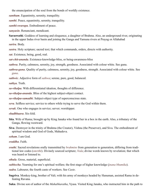the emancipation of the soul from the bonds of worldly existence.

*santham*. Equanimity, serenity, tranquility.

<span id="page-48-12"></span>*santhi*. Peace, equanimity, serenity, tranquility.

<span id="page-48-13"></span>*santhi-swarupa*. Embodiment of peace.

<span id="page-48-18"></span>*sanyasin*. Renunciant, mendicant.

<span id="page-48-23"></span>**Saraswathi**. Goddess of learning and eloquence, a daughter of [Brahma](#page-41-24). Also, an underground river, originating in the upper Indus river basin and joining the [Ganga](#page-43-25) and [Yamuna](#page-51-9) rivers at Prayag or Allahabad

<span id="page-48-20"></span>*sarira*. Body.

<span id="page-48-0"></span>*sastra*. Holy scripture; sacred text; that which commands, orders, directs with authority.

<span id="page-48-11"></span>*sat*. Existence, being, good, real.

<span id="page-48-4"></span>*sat-chit-ananda*. Existence-knowledge-bliss, or being-awareness-bliss

<span id="page-48-8"></span>*sathwa*. Purity, calmness, serenity, joy, strength, goodness. Associated with colour white. See guna.

<span id="page-48-9"></span>*sathwa-guna*. Quality of purity, calmness, serenity, joy, goodness, strength. Associated with colour white. See *[guna](#page-43-2)*.

<span id="page-48-7"></span>*sathwic*. Adjective form of *[sathwa](#page-48-8)*; serene, pure, good, balanced.

<span id="page-48-1"></span>*sathya*. Truth.

*sa-vikalpa*. With differentiated ideation, thoughts of difference.

<span id="page-48-2"></span>*sa-vikalpa-ananda*. Bliss of the highest subject-object contact.

<span id="page-48-3"></span>*sa-vikalpa-samadhi*. Subject-object type of superconscious state.

<span id="page-48-16"></span>*seva*. Selfless service; service to others while trying to serve the God within them.

*sevak*. One who engages in service; server; worshipper.

*shadbhaava*. Six-fold.

- <span id="page-48-22"></span>**Sita**. Wife of Rama; brought up by King [Janaka](#page-43-23) who found her in a box in the earth. Also, a tributary of the [Ganga](#page-43-25), flowing westward.
- <span id="page-48-14"></span>**Siva**. Destroyer in the trinity of [Brahma](#page-41-24) (the Creator), [Vishnu](#page-50-17) (the Preserver), and Siva. The embodiment of spiritual wisdom and God of Gods, Mahadeva.

<span id="page-48-17"></span>*soham*. I am God.

<span id="page-48-5"></span>*sraddha*. Faith.

<span id="page-48-6"></span>*sruthi*. Sacred revelations orally transmitted by *[brahmins](#page-42-16)* from generation to generation, differing from traditional law codes (*smrithi*). Divinely sourced scripture; *Veda*; divine words known by revelation; that which was heard or listened to.

<span id="page-48-19"></span>*sthula*. Gross, material, superficial.

<span id="page-48-10"></span>*subhecha*. Yearning for one's spiritual welfare; the first stage of higher knowledge (*jnana bhumika*).

<span id="page-48-15"></span>*sudra*. Labourer, the fourth caste of workers. See *[Caste](#page-42-24)*.

<span id="page-48-24"></span>**Sugriva**. Monkey-king, brother of [Vali](#page-50-25); with his army of monkeys headed by [Hanuman](#page-43-27), assisted [Rama](#page-47-8) in defeating [Ravana](#page-47-23).

<span id="page-48-21"></span>**Suka**. Divine son of author of the *[Mahabharatha](#page-44-18)*, [Vyasa](#page-51-3). Visited King Janaka, who instructed him in the path to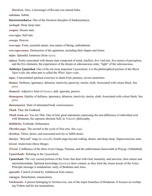liberation. Also, a messenger of [Ravana](#page-47-23) was named Suka.

<span id="page-49-19"></span>*sukshma*. Subtle.

<span id="page-49-16"></span>**Sureswaracharya**. One of the foremost disciples of [Sankaracharya.](#page-47-13)

<span id="page-49-1"></span>*sushupti*. Deep sleep state.

*swapna*. Dream state.

<span id="page-49-7"></span>*swa-rajya*. Self-rule.

<span id="page-49-2"></span>*swarga*. Heaven.

<span id="page-49-14"></span>*swa-rupa*. Form, essential nature, true nature of Being, embodiment.

<span id="page-49-9"></span>*swa-rupa-naasa*. Destruction of the agitations, including their shapes and forms.

*taijas*. Splendid, luminous (from *tejas*).

- <span id="page-49-18"></span>*taijasa*. Entity associated with dream state composed of mind, intellect, five vital airs, five senses of perception, and the five elements; the experiencer of the dream or subconscious state, "light" of the subconscious.
- <span id="page-49-15"></span>*Taithiriya Upanishad*. One of the ten most important *[Upanishads](#page-49-5)*; it is the philosophical portion of the *Black Yajur-veda*; the other part is called the *White Yajur-veda*.
- <span id="page-49-0"></span>*tapas*. Concentrated spiritual exercises to attain God, penance, severe austerities.
- <span id="page-49-10"></span>*thamas*. Dullness, ignorance, delusion, inactivity, passivity, inertia, sloth. Associated with colour black. See *[guna](#page-43-2)*.

<span id="page-49-11"></span>*thamasic*. Adjective form of *[thamas](#page-49-10)*, dull, ignorant, passive.

- *thamoguna*. Quality of dullness, ignorance, delusion, inactivity, inertia, sloth. Associated with colour black. See *[guna](#page-43-2)*.
- <span id="page-49-12"></span>*thanumanasi*. State of attenuated body consciousness.

*Thath*. That, the Godhead.

*Thath twam asi*. You are That. One of four great statements expressing the non-difference of individual soul with [Brahman](#page-42-0), the supreme absolute Self, in *[Vedantic](#page-50-12)* philosophy.

<span id="page-49-4"></span>*thithiksha*. Fortitude, forbearance.

<span id="page-49-20"></span>*Thretha-yuga*. The second in the cycle of four eras. See *[yuga](#page-51-8).*

<span id="page-49-13"></span>*thrishna*. Thirst, desire, and associated activity to fulfill desire.

<span id="page-49-8"></span>*thuriya*. "Beyond" stage in *[samadhi](#page-47-2)*; fourth stage beyond waking, dream, and deep sleep. Superconscious state.

<span id="page-49-17"></span>*triveni*. triumvirate (three things).

*Triveni*. Confluence of the three rivers [Ganga](#page-43-25), Yamuna, and the subterranean [Saraswathi](#page-48-23) at Prayag. (Allahabad).

<span id="page-49-21"></span>*Upanishadic*. Relating to the *[Upanishads](#page-49-21)*.

- <span id="page-49-5"></span>*Upanishads*. The very sacred portions of the *Vedas* that deal with God, humanity, and universe, their nature and interrelationships. Spiritual knowledge (*jnana*) is their content, so they form the *Jnana-kanda* of the *Vedas.*  Principle message is nondualism: unity of Brahman and *Atma*.
- <span id="page-49-3"></span>*uparathi*. Control of mind by withdrawal from senses.

<span id="page-49-6"></span>*vairagya*. Detachment, renunciation.

*Vaishnavite*. A person belonging to *Vaishnavism*, one of the major branches of Hinduism. It focuses on worhiping [Vishnu](#page-50-17) and his ten incarnations.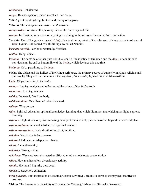<span id="page-50-3"></span>*vaishamya*. Unbalanced.

<span id="page-50-23"></span>*vaisya*. Business person, trader, merchant. See *[Caste](#page-42-24)*.

<span id="page-50-25"></span>**Vali**. A great monkey-king; brother and enemy of [Sugriva](#page-48-24).

<span id="page-50-13"></span>**Valmiki**. The saint-poet who wrote the *[Ramayana](#page-47-11)*.

<span id="page-50-22"></span>*vanaprastha*. Forest-dweller, hermit; third of the four stages of life.

<span id="page-50-1"></span>*vasana*. Inclination, impression of anything remaining in the subconscious mind from past action.

<span id="page-50-4"></span>**Vasishta**. One of the greatest sages (*[rishis](#page-47-10)*) of ancient times; priest of the solar race of kings; revealer of several *[Vedic](#page-50-24)* hymns. Had sacred, wishfulfilling cow called Nandini.

<span id="page-50-14"></span>*Vasishta-smrithi*. Law book written by [Vasishta.](#page-50-4)

*vasthu*. Thing, object.

<span id="page-50-11"></span>*Vedanta*. The doctrine of either pure non-dualism, i.e. the identity of [Brahman](#page-42-0) and the *[Atma](#page-41-1)*, or conditioned non-dualism; the end or bottom line of the *[Vedas](#page-50-9)*, which declares this doctrine.

<span id="page-50-12"></span>*Vedantic*. Of or pertaining to *[Vedanta](#page-50-11)*.

<span id="page-50-9"></span>*Vedas*. The oldest and the holiest of the Hindu scriptures, the primary source of authority in Hindu religion and philosophy. They are four in number: the *[Rig-Veda](#page-47-24)*, *[Sama-Veda](#page-47-25)*, *[Yajur-Veda](#page-51-10)*, and *[Atharva-Veda](#page-41-25)*.

<span id="page-50-24"></span>*Vedic*. Of your relating to the *[Vedas](#page-50-9)*.

<span id="page-50-5"></span>*vichara*. Inquiry, analysis and reflection of the nature of the Self or truth.

<span id="page-50-2"></span>*vicharana*. Enquiry, analysis.

*videha*. Deceased, free from body.

<span id="page-50-20"></span>*videha-muktha*. One liberated when deceased.

<span id="page-50-21"></span>*vidwan*. Wise person.

- <span id="page-50-15"></span>*vidya*. Spiritual education, spiritual knowledge, learning, that which illumines, that which gives light, supreme teaching.
- <span id="page-50-6"></span>*vi-jnana*. Highest wisdom; discriminating faculty of the intellect; spiritual wisdom beyond the material plane.

<span id="page-50-10"></span>*vi-jnana-ghana*. Sum and substance of spiritual wisdom.

<span id="page-50-16"></span>*vi-jnana-maya kosa*. Body sheath of intellect, intuition.

<span id="page-50-19"></span>*vi-kalpa*. Negativity, indecisiveness.

*vi-kara*. Modification, adaptation, change

<span id="page-50-18"></span>*vikari*. A mutable entity.

*vi-karma*. Wrong action.

<span id="page-50-0"></span>*vi-kshepa*. Waywardness; distracted or diffused mind that obstructs concentration.

*vilasa*. Play, manifestation; diversionary activity.

<span id="page-50-7"></span>*vimala*. Having all impurity destroyed.

*vinasa*. Destruction, extinction.

<span id="page-50-8"></span>*Virat-purusha*. First incarnation of [Brahma](#page-41-24); Cosmic Divinity; Lord in His form as the physical manifested cosmos.

<span id="page-50-17"></span>**Vishnu**. The Preserver in the trinity of [Brahma](#page-41-24) (the Creator), [Vishnu,](#page-50-17) and [Siva](#page-48-14) (the Destroyer).